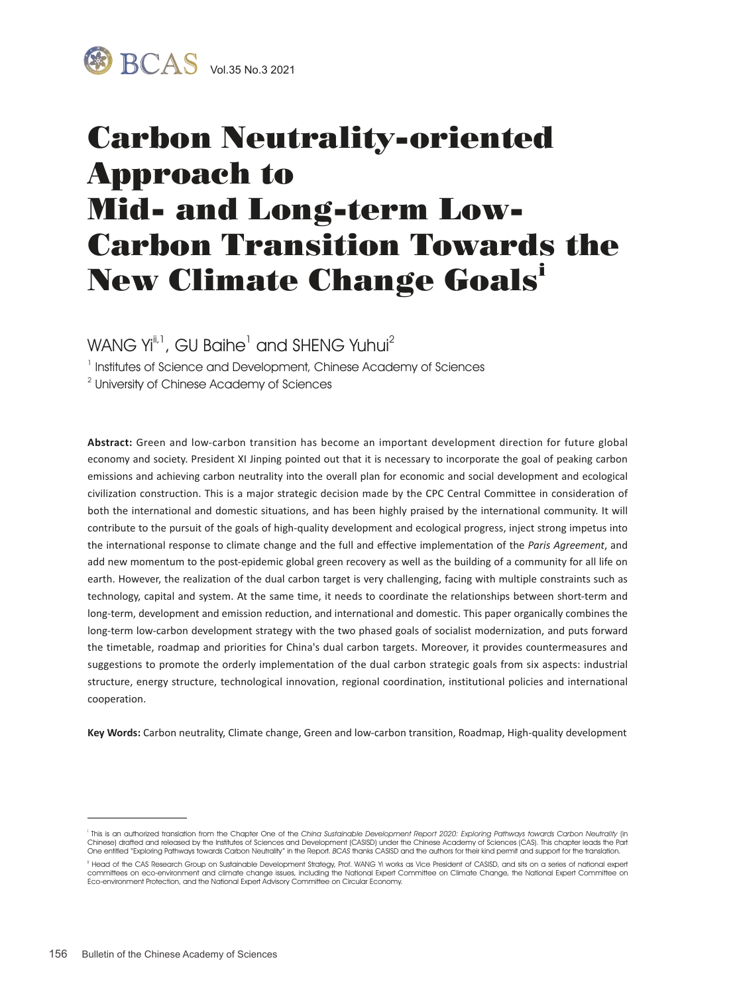

# Carbon Neutrality-oriented Approach to Mid- and Long-term Low-Carbon Transition Towards the New Climate Change Goals<sup>i</sup>

WANG Yi $^{\text{\tiny{[i]}}.}$  , GU Baihe $^{\text{\tiny{1}}}$  and SHENG Yuhui $^{\text{\tiny{2}}}$ 

<sup>1</sup> Institutes of Science and Development, Chinese Academy of Sciences

 $2$  University of Chinese Academy of Sciences

**Abstract:** Green and low-carbon transition has become an important development direction for future global economy and society. President XI Jinping pointed out that it is necessary to incorporate the goal of peaking carbon emissions and achieving carbon neutrality into the overall plan for economic and social development and ecological civilization construction. This is a major strategic decision made by the CPC Central Committee in consideration of both the international and domestic situations, and has been highly praised by the international community. It will contribute to the pursuit of the goals of high-quality development and ecological progress, inject strong impetus into the international response to climate change and the full and effective implementation of the *Paris Agreement*, and add new momentum to the post-epidemic global green recovery as well as the building of a community for all life on earth. However, the realization of the dual carbon target is very challenging, facing with multiple constraints such as technology, capital and system. At the same time, it needs to coordinate the relationships between short-term and long-term, development and emission reduction, and international and domestic. This paper organically combines the long-term low-carbon development strategy with the two phased goals of socialist modernization, and puts forward the timetable, roadmap and priorities for China's dual carbon targets. Moreover, it provides countermeasures and suggestions to promote the orderly implementation of the dual carbon strategic goals from six aspects: industrial structure, energy structure, technological innovation, regional coordination, institutional policies and international cooperation.

**Key Words:** Carbon neutrality, Climate change, Green and low-carbon transition, Roadmap, High-quality development

<sup>&</sup>lt;sup>i</sup> This is an authorized translation from the Chapter One of the Chi*na Sustainable Development Report 2020: Exploring Pathways towards Carbon Neutrality (in<br>Chinese) drafted and released by the Institutes of Sciences and* One entitled "Exploring Pathways towards Carbon Neutrality" in the Report. BCAS thanks CASISD and the authors for their kind permit and support for the translation.

<sup>&</sup>lt;sup>1</sup> Head of the CAS Research Group on Sustainable Development Strategy, Prof. WANG Yi works as Vice President of CASISD, and sits on a series of national expert committees on eco-environment and climate change issues, including the National Expert Committee on Climate Change, the National Expert Committee on<br>Eco-environment Protection, and the National Expert Advisory Committee on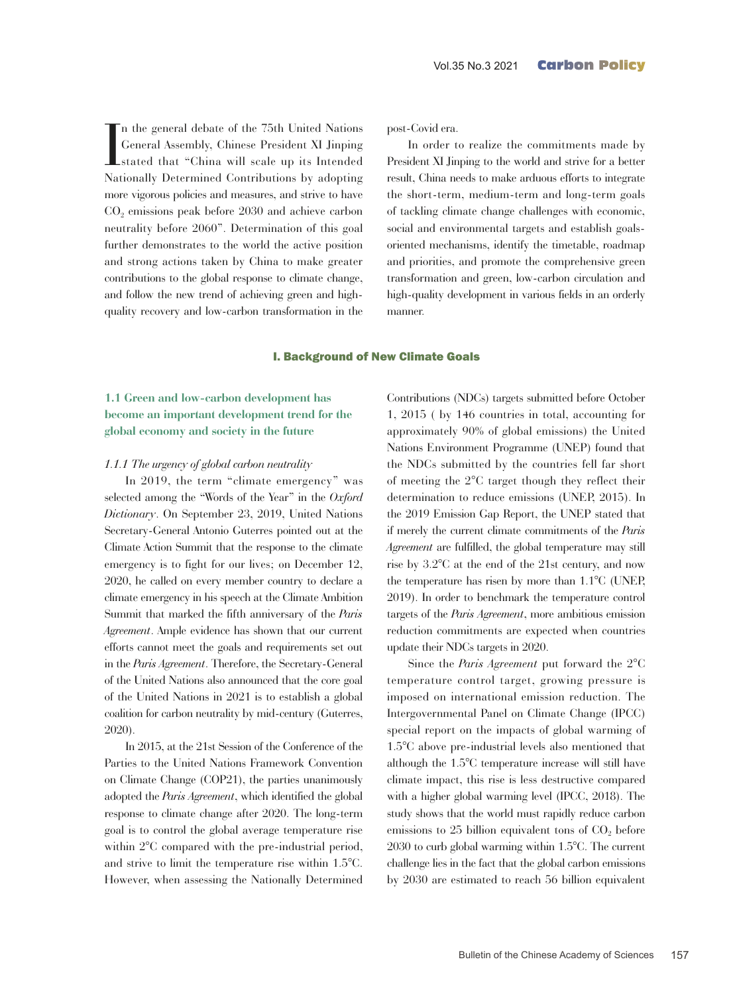In the general debate of the 75th United Nations<br>
General Assembly, Chinese President XI Jinping<br>
stated that "China will scale up its Intended<br>
Nationally Determined Contributions by adopting n the general debate of the 75th United Nations General Assembly, Chinese President XI Jinping stated that "China will scale up its Intended more vigorous policies and measures, and strive to have CO<sub>2</sub> emissions peak before 2030 and achieve carbon neutrality before 2060". Determination of this goal further demonstrates to the world the active position and strong actions taken by China to make greater contributions to the global response to climate change, and follow the new trend of achieving green and highquality recovery and low-carbon transformation in the

post-Covid era.

In order to realize the commitments made by President XI Jinping to the world and strive for a better result, China needs to make arduous efforts to integrate the short-term, medium-term and long-term goals of tackling climate change challenges with economic, social and environmental targets and establish goalsoriented mechanisms, identify the timetable, roadmap and priorities, and promote the comprehensive green transformation and green, low-carbon circulation and high-quality development in various fields in an orderly manner.

#### I. Background of New Climate Goals

## **1.1 Green and low-carbon development has become an important development trend for the global economy and society in the future**

#### *1.1.1 The urgency of global carbon neutrality*

In 2019, the term "climate emergency" was selected among the "Words of the Year" in the *Oxford Dictionary*. On September 23, 2019, United Nations Secretary-General Antonio Guterres pointed out at the Climate Action Summit that the response to the climate emergency is to fight for our lives; on December 12, 2020, he called on every member country to declare a climate emergency in his speech at the Climate Ambition Summit that marked the fifth anniversary of the *Paris Agreement*. Ample evidence has shown that our current efforts cannot meet the goals and requirements set out in the *Paris Agreement*. Therefore, the Secretary-General of the United Nations also announced that the core goal of the United Nations in 2021 is to establish a global coalition for carbon neutrality by mid-century (Guterres, 2020).

In 2015, at the 21st Session of the Conference of the Parties to the United Nations Framework Convention on Climate Change (COP21), the parties unanimously adopted the *Paris Agreement*, which identified the global response to climate change after 2020. The long-term goal is to control the global average temperature rise within 2°C compared with the pre-industrial period, and strive to limit the temperature rise within 1.5°C. However, when assessing the Nationally Determined

Contributions (NDCs) targets submitted before October 1, 2015 ( by 146 countries in total, accounting for approximately 90% of global emissions) the United Nations Environment Programme (UNEP) found that the NDCs submitted by the countries fell far short of meeting the 2°C target though they reflect their determination to reduce emissions (UNEP, 2015). In the 2019 Emission Gap Report, the UNEP stated that if merely the current climate commitments of the *Paris Agreement* are fulfilled, the global temperature may still rise by 3.2°C at the end of the 21st century, and now the temperature has risen by more than 1.1°C (UNEP, 2019). In order to benchmark the temperature control targets of the *Paris Agreement*, more ambitious emission reduction commitments are expected when countries update their NDCs targets in 2020.

Since the *Paris Agreement* put forward the 2°C temperature control target, growing pressure is imposed on international emission reduction. The Intergovernmental Panel on Climate Change (IPCC) special report on the impacts of global warming of 1.5°C above pre-industrial levels also mentioned that although the 1.5°C temperature increase will still have climate impact, this rise is less destructive compared with a higher global warming level (IPCC, 2018). The study shows that the world must rapidly reduce carbon emissions to  $25$  billion equivalent tons of  $CO<sub>2</sub>$  before 2030 to curb global warming within 1.5°C. The current challenge lies in the fact that the global carbon emissions by 2030 are estimated to reach 56 billion equivalent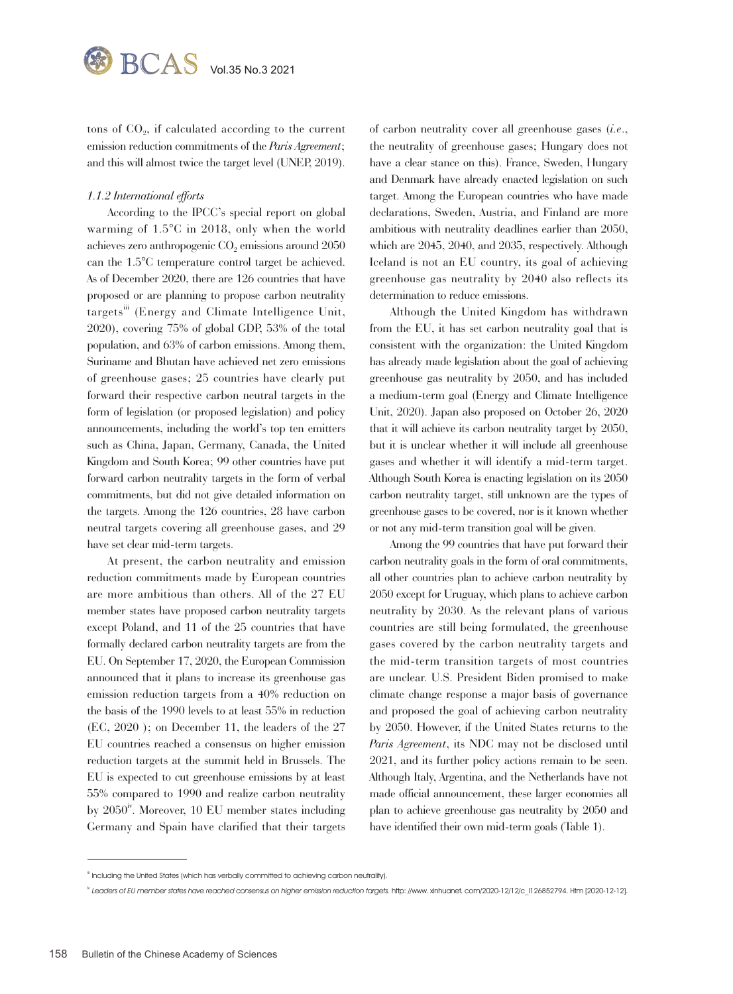tons of  $CO<sub>2</sub>$ , if calculated according to the current emission reduction commitments of the *Paris Agreement*; and this will almost twice the target level (UNEP, 2019).

#### *1.1.2 International efforts*

According to the IPCC's special report on global warming of 1.5°C in 2018, only when the world achieves zero anthropogenic  $CO<sub>2</sub>$  emissions around  $2050$ can the 1.5°C temperature control target be achieved. As of December 2020, there are 126 countries that have proposed or are planning to propose carbon neutrality targets<sup>iii</sup> (Energy and Climate Intelligence Unit, 2020), covering 75% of global GDP, 53% of the total population, and 63% of carbon emissions. Among them, Suriname and Bhutan have achieved net zero emissions of greenhouse gases; 25 countries have clearly put forward their respective carbon neutral targets in the form of legislation (or proposed legislation) and policy announcements, including the world's top ten emitters such as China, Japan, Germany, Canada, the United Kingdom and South Korea; 99 other countries have put forward carbon neutrality targets in the form of verbal commitments, but did not give detailed information on the targets. Among the 126 countries, 28 have carbon neutral targets covering all greenhouse gases, and 29 have set clear mid-term targets.

At present, the carbon neutrality and emission reduction commitments made by European countries are more ambitious than others. All of the 27 EU member states have proposed carbon neutrality targets except Poland, and 11 of the 25 countries that have formally declared carbon neutrality targets are from the EU. On September 17, 2020, the European Commission announced that it plans to increase its greenhouse gas emission reduction targets from a 40% reduction on the basis of the 1990 levels to at least 55% in reduction (EC, 2020 ); on December 11, the leaders of the 27 EU countries reached a consensus on higher emission reduction targets at the summit held in Brussels. The EU is expected to cut greenhouse emissions by at least 55% compared to 1990 and realize carbon neutrality by  $2050^{\circ}$ . Moreover, 10 EU member states including Germany and Spain have clarified that their targets of carbon neutrality cover all greenhouse gases (*i.e*., the neutrality of greenhouse gases; Hungary does not have a clear stance on this). France, Sweden, Hungary and Denmark have already enacted legislation on such target. Among the European countries who have made declarations, Sweden, Austria, and Finland are more ambitious with neutrality deadlines earlier than 2050, which are 2045, 2040, and 2035, respectively. Although Iceland is not an EU country, its goal of achieving greenhouse gas neutrality by 2040 also reflects its determination to reduce emissions.

Although the United Kingdom has withdrawn from the EU, it has set carbon neutrality goal that is consistent with the organization: the United Kingdom has already made legislation about the goal of achieving greenhouse gas neutrality by 2050, and has included a medium-term goal (Energy and Climate Intelligence Unit, 2020). Japan also proposed on October 26, 2020 that it will achieve its carbon neutrality target by 2050, but it is unclear whether it will include all greenhouse gases and whether it will identify a mid-term target. Although South Korea is enacting legislation on its 2050 carbon neutrality target, still unknown are the types of greenhouse gases to be covered, nor is it known whether or not any mid-term transition goal will be given.

Among the 99 countries that have put forward their carbon neutrality goals in the form of oral commitments, all other countries plan to achieve carbon neutrality by 2050 except for Uruguay, which plans to achieve carbon neutrality by 2030. As the relevant plans of various countries are still being formulated, the greenhouse gases covered by the carbon neutrality targets and the mid-term transition targets of most countries are unclear. U.S. President Biden promised to make climate change response a major basis of governance and proposed the goal of achieving carbon neutrality by 2050. However, if the United States returns to the *Paris Agreement*, its NDC may not be disclosed until 2021, and its further policy actions remain to be seen. Although Italy, Argentina, and the Netherlands have not made official announcement, these larger economies all plan to achieve greenhouse gas neutrality by 2050 and have identified their own mid-term goals (Table 1).

iii Including the United States (which has verbally committed to achieving carbon neutrality).

iv Leaders of EU member states have reached consensus on higher emission reduction targets. http: //www. xinhuanet. com/2020-12/12/c\_l126852794. Htm [2020-12-12].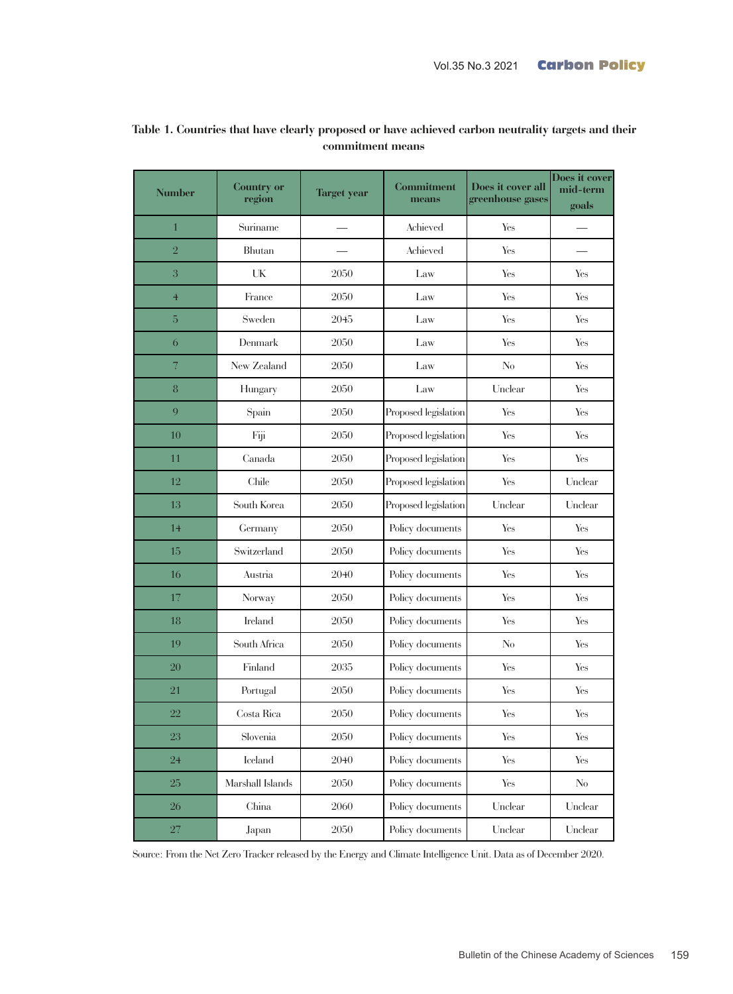| <b>Number</b>            | <b>Country or</b><br>region         | <b>Target year</b> | <b>Commitment</b><br>means | Does it cover all<br>greenhouse gases | Does it cover<br>mid-term<br>goals |
|--------------------------|-------------------------------------|--------------------|----------------------------|---------------------------------------|------------------------------------|
| $\mathbf{1}$             | Suriname                            |                    | Achieved                   | Yes                                   |                                    |
| $\sqrt{2}$               | Bhutan                              |                    | Achieved                   | Yes                                   |                                    |
| 3                        | UK                                  | 2050               | Law                        | Yes                                   | Yes                                |
| $\overline{4}$           | France                              | 2050               | Law                        | Yes                                   | Yes                                |
| 5                        | Sweden                              | 2045               | Law                        | Yes                                   | Yes                                |
| 6                        | Denmark                             | 2050               | Law                        | Yes                                   | Yes                                |
| $\overline{\mathcal{U}}$ | New Zealand                         | 2050               | Law                        | No                                    | Yes                                |
| 8                        | Hungary                             | 2050               | Law                        | Unclear                               | Yes                                |
| 9                        | Spain                               | 2050               | Proposed legislation       | Yes                                   | Yes                                |
| 10                       | Fiji                                | 2050               | Proposed legislation       | Yes                                   | Yes                                |
| 11                       | Canada                              | 2050               | Proposed legislation       | Yes                                   | Yes                                |
| 12                       | Chile                               | 2050               | Proposed legislation       | Yes                                   | Unclear                            |
| 13                       | South Korea                         | 2050               | Proposed legislation       | Unclear                               | Unclear                            |
| 14                       | Germany                             | 2050               | Policy documents           | Yes                                   | Yes                                |
| 15                       | Switzerland                         | 2050               | Policy documents           | Yes                                   | Yes                                |
| 16                       | Austria                             | 2040               | Policy documents           | Yes                                   | Yes                                |
| 17                       | Norway                              | 2050               | Policy documents           | Yes                                   | Yes                                |
| 18                       | <b>Ireland</b>                      | 2050               | Policy documents           | Yes                                   | Yes                                |
| 19                       | South Africa                        | 2050               | Policy documents           | No                                    | Yes                                |
| 20                       | Finland                             | 2035               | Policy documents           | Yes                                   | Yes                                |
| 21                       | Portugal                            | 2050               | Policy documents           | Yes                                   | Yes                                |
| 22                       | Costa Rica                          | 2050               | Policy documents           | Yes                                   | Yes                                |
| $23\,$                   | $\label{eq:subc} \textbf{Slovenia}$ | $2050\,$           | Policy documents           | $\operatorname{Yes}$                  | Yes                                |
| $24\,$                   | Iceland                             | 2040               | Policy documents           | Yes                                   | Yes                                |
| $25\,$                   | Marshall Islands                    | 2050               | Policy documents           | ${\hbox{Yes}}$                        | $\rm No$                           |
| $26\,$                   | China                               | 2060               | Policy documents           | Unclear                               | Unclear                            |
| $27\,$                   | Japan                               | 2050               | Policy documents           | Unclear                               | Unclear                            |

# **Table 1. Countries that have clearly proposed or have achieved carbon neutrality targets and their commitment means**

Source: From the Net Zero Tracker released by the Energy and Climate Intelligence Unit. Data as of December 2020.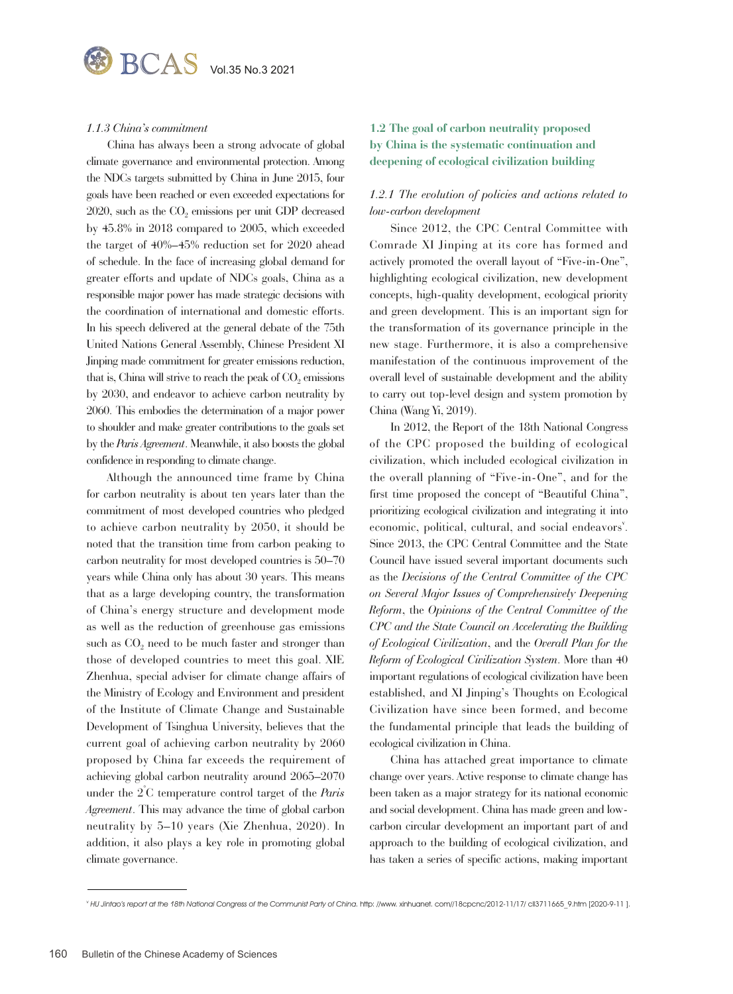#### *1.1.3 China's commitment*

China has always been a strong advocate of global climate governance and environmental protection. Among the NDCs targets submitted by China in June 2015, four goals have been reached or even exceeded expectations for  $2020$ , such as the  $CO<sub>2</sub>$  emissions per unit GDP decreased by 45.8% in 2018 compared to 2005, which exceeded the target of 40%–45% reduction set for 2020 ahead of schedule. In the face of increasing global demand for greater efforts and update of NDCs goals, China as a responsible major power has made strategic decisions with the coordination of international and domestic efforts. In his speech delivered at the general debate of the 75th United Nations General Assembly, Chinese President XI Jinping made commitment for greater emissions reduction, that is, China will strive to reach the peak of  $CO<sub>2</sub>$  emissions by 2030, and endeavor to achieve carbon neutrality by 2060. This embodies the determination of a major power to shoulder and make greater contributions to the goals set by the *Paris Agreement*. Meanwhile, it also boosts the global confidence in responding to climate change.

Although the announced time frame by China for carbon neutrality is about ten years later than the commitment of most developed countries who pledged to achieve carbon neutrality by 2050, it should be noted that the transition time from carbon peaking to carbon neutrality for most developed countries is 50–70 years while China only has about 30 years. This means that as a large developing country, the transformation of China's energy structure and development mode as well as the reduction of greenhouse gas emissions such as  $CO<sub>2</sub>$  need to be much faster and stronger than those of developed countries to meet this goal. XIE Zhenhua, special adviser for climate change affairs of the Ministry of Ecology and Environment and president of the Institute of Climate Change and Sustainable Development of Tsinghua University, believes that the current goal of achieving carbon neutrality by 2060 proposed by China far exceeds the requirement of achieving global carbon neutrality around 2065–2070 under the 2° C temperature control target of the *Paris Agreement*. This may advance the time of global carbon neutrality by 5–10 years (Xie Zhenhua, 2020). In addition, it also plays a key role in promoting global climate governance.

## **1.2 The goal of carbon neutrality proposed by China is the systematic continuation and deepening of ecological civilization building**

#### *1.2.1 The evolution of policies and actions related to low-carbon development*

Since 2012, the CPC Central Committee with Comrade XI Jinping at its core has formed and actively promoted the overall layout of "Five-in-One", highlighting ecological civilization, new development concepts, high-quality development, ecological priority and green development. This is an important sign for the transformation of its governance principle in the new stage. Furthermore, it is also a comprehensive manifestation of the continuous improvement of the overall level of sustainable development and the ability to carry out top-level design and system promotion by China (Wang Yi, 2019).

In 2012, the Report of the 18th National Congress of the CPC proposed the building of ecological civilization, which included ecological civilization in the overall planning of "Five-in-One", and for the first time proposed the concept of "Beautiful China", prioritizing ecological civilization and integrating it into economic, political, cultural, and social endeavors'. Since 2013, the CPC Central Committee and the State Council have issued several important documents such as the *Decisions of the Central Committee of the CPC on Several Major Issues of Comprehensively Deepening Reform*, the *Opinions of the Central Committee of the CPC and the State Council on Accelerating the Building of Ecological Civilization*, and the *Overall Plan for the Reform of Ecological Civilization System*. More than 40 important regulations of ecological civilization have been established, and XI Jinping's Thoughts on Ecological Civilization have since been formed, and become the fundamental principle that leads the building of ecological civilization in China.

China has attached great importance to climate change over years. Active response to climate change has been taken as a major strategy for its national economic and social development. China has made green and lowcarbon circular development an important part of and approach to the building of ecological civilization, and has taken a series of specific actions, making important

v HU Jintao's report at the 18th National Congress of the Communist Party of China. http: //www. xinhuanet. com//18cpcnc/2012-11/17/ cll3711665\_9.htm [2020-9-11].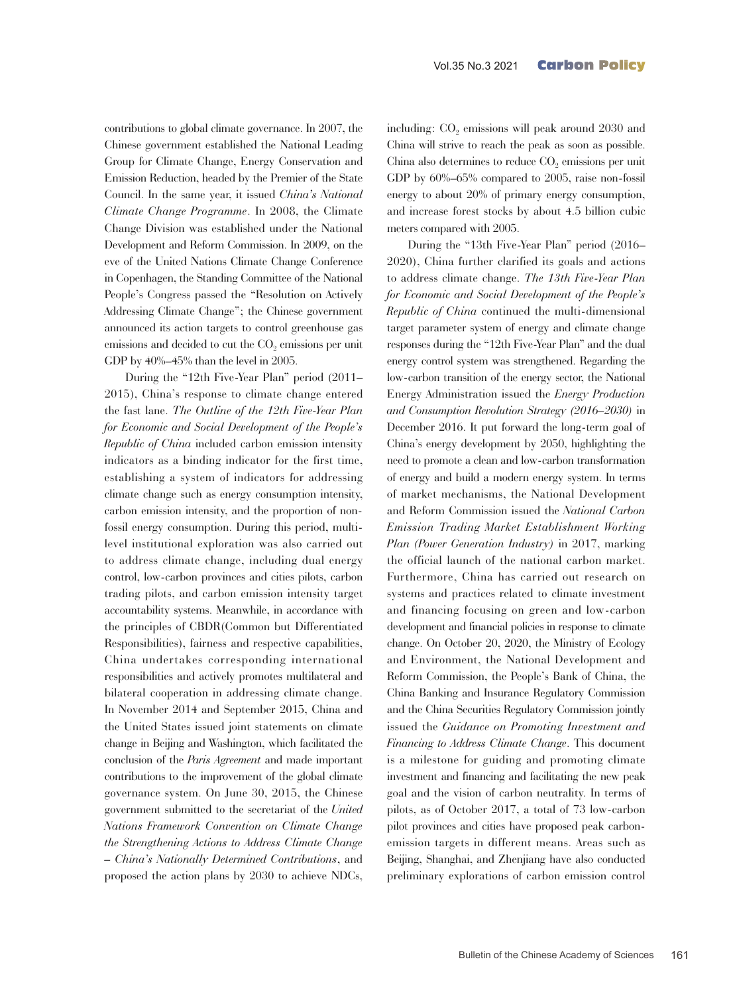contributions to global climate governance. In 2007, the Chinese government established the National Leading Group for Climate Change, Energy Conservation and Emission Reduction, headed by the Premier of the State Council. In the same year, it issued *China's National Climate Change Programme*. In 2008, the Climate Change Division was established under the National Development and Reform Commission. In 2009, on the eve of the United Nations Climate Change Conference in Copenhagen, the Standing Committee of the National People's Congress passed the "Resolution on Actively Addressing Climate Change"; the Chinese government announced its action targets to control greenhouse gas emissions and decided to cut the CO<sub>2</sub> emissions per unit GDP by 40%–45% than the level in 2005.

During the "12th Five-Year Plan" period (2011– 2015), China's response to climate change entered the fast lane. *The Outline of the 12th Five-Year Plan for Economic and Social Development of the People's Republic of China* included carbon emission intensity indicators as a binding indicator for the first time, establishing a system of indicators for addressing climate change such as energy consumption intensity, carbon emission intensity, and the proportion of nonfossil energy consumption. During this period, multilevel institutional exploration was also carried out to address climate change, including dual energy control, low-carbon provinces and cities pilots, carbon trading pilots, and carbon emission intensity target accountability systems. Meanwhile, in accordance with the principles of CBDR(Common but Differentiated Responsibilities), fairness and respective capabilities, China undertakes corresponding international responsibilities and actively promotes multilateral and bilateral cooperation in addressing climate change. In November 2014 and September 2015, China and the United States issued joint statements on climate change in Beijing and Washington, which facilitated the conclusion of the *Paris Agreement* and made important contributions to the improvement of the global climate governance system. On June 30, 2015, the Chinese government submitted to the secretariat of the *United Nations Framework Convention on Climate Change the Strengthening Actions to Address Climate Change – China's Nationally Determined Contributions*, and proposed the action plans by 2030 to achieve NDCs,

including:  $CO<sub>2</sub>$  emissions will peak around  $2030$  and China will strive to reach the peak as soon as possible. China also determines to reduce  $CO<sub>2</sub>$  emissions per unit GDP by 60%–65% compared to 2005, raise non-fossil energy to about 20% of primary energy consumption, and increase forest stocks by about 4.5 billion cubic meters compared with 2005.

During the "13th Five-Year Plan" period (2016– 2020), China further clarified its goals and actions to address climate change. *The 13th Five-Year Plan for Economic and Social Development of the People's Republic of China* continued the multi-dimensional target parameter system of energy and climate change responses during the "12th Five-Year Plan" and the dual energy control system was strengthened. Regarding the low-carbon transition of the energy sector, the National Energy Administration issued the *Energy Production and Consumption Revolution Strategy (2016–2030)* in December 2016. It put forward the long-term goal of China's energy development by 2050, highlighting the need to promote a clean and low-carbon transformation of energy and build a modern energy system. In terms of market mechanisms, the National Development and Reform Commission issued the *National Carbon Emission Trading Market Establishment Working Plan (Power Generation Industry)* in 2017, marking the official launch of the national carbon market. Furthermore, China has carried out research on systems and practices related to climate investment and financing focusing on green and low-carbon development and financial policies in response to climate change. On October 20, 2020, the Ministry of Ecology and Environment, the National Development and Reform Commission, the People's Bank of China, the China Banking and Insurance Regulatory Commission and the China Securities Regulatory Commission jointly issued the *Guidance on Promoting Investment and Financing to Address Climate Change*. This document is a milestone for guiding and promoting climate investment and financing and facilitating the new peak goal and the vision of carbon neutrality. In terms of pilots, as of October 2017, a total of 73 low-carbon pilot provinces and cities have proposed peak carbonemission targets in different means. Areas such as Beijing, Shanghai, and Zhenjiang have also conducted preliminary explorations of carbon emission control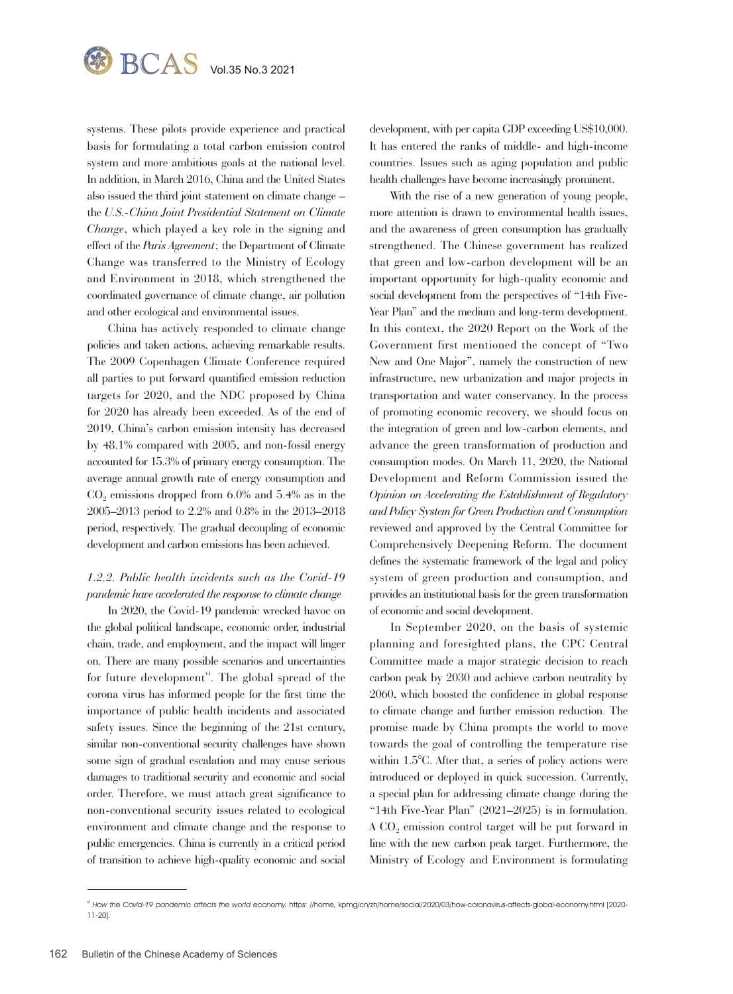

systems. These pilots provide experience and practical basis for formulating a total carbon emission control system and more ambitious goals at the national level. In addition, in March 2016, China and the United States also issued the third joint statement on climate change – the *U.S.-China Joint Presidential Statement on Climate Change*, which played a key role in the signing and effect of the *Paris Agreement*; the Department of Climate Change was transferred to the Ministry of Ecology and Environment in 2018, which strengthened the coordinated governance of climate change, air pollution and other ecological and environmental issues.

China has actively responded to climate change policies and taken actions, achieving remarkable results. The 2009 Copenhagen Climate Conference required all parties to put forward quantified emission reduction targets for 2020, and the NDC proposed by China for 2020 has already been exceeded. As of the end of 2019, China's carbon emission intensity has decreased by 48.1% compared with 2005, and non-fossil energy accounted for 15.3% of primary energy consumption. The average annual growth rate of energy consumption and  $CO<sub>2</sub>$  emissions dropped from 6.0% and 5.4% as in the 2005–2013 period to 2.2% and 0.8% in the 2013–2018 period, respectively. The gradual decoupling of economic development and carbon emissions has been achieved.

## *1.2.2. Public health incidents such as the Covid-19 pandemic have accelerated the response to climate change*

In 2020, the Covid-19 pandemic wrecked havoc on the global political landscape, economic order, industrial chain, trade, and employment, and the impact will linger on. There are many possible scenarios and uncertainties for future development<sup>vi</sup>. The global spread of the corona virus has informed people for the first time the importance of public health incidents and associated safety issues. Since the beginning of the 21st century, similar non-conventional security challenges have shown some sign of gradual escalation and may cause serious damages to traditional security and economic and social order. Therefore, we must attach great significance to non-conventional security issues related to ecological environment and climate change and the response to public emergencies. China is currently in a critical period of transition to achieve high-quality economic and social

development, with per capita GDP exceeding US\$10,000. It has entered the ranks of middle- and high-income countries. Issues such as aging population and public health challenges have become increasingly prominent.

With the rise of a new generation of young people, more attention is drawn to environmental health issues, and the awareness of green consumption has gradually strengthened. The Chinese government has realized that green and low-carbon development will be an important opportunity for high-quality economic and social development from the perspectives of "14th Five-Year Plan" and the medium and long-term development. In this context, the 2020 Report on the Work of the Government first mentioned the concept of "Two New and One Major", namely the construction of new infrastructure, new urbanization and major projects in transportation and water conservancy. In the process of promoting economic recovery, we should focus on the integration of green and low-carbon elements, and advance the green transformation of production and consumption modes. On March 11, 2020, the National Development and Reform Commission issued the *Opinion on Accelerating the Establishment of Regulatory and Policy System for Green Production and Consumption* reviewed and approved by the Central Committee for Comprehensively Deepening Reform. The document defines the systematic framework of the legal and policy system of green production and consumption, and provides an institutional basis for the green transformation of economic and social development.

In September 2020, on the basis of systemic planning and foresighted plans, the CPC Central Committee made a major strategic decision to reach carbon peak by 2030 and achieve carbon neutrality by 2060, which boosted the confidence in global response to climate change and further emission reduction. The promise made by China prompts the world to move towards the goal of controlling the temperature rise within 1.5<sup>o</sup>C. After that, a series of policy actions were introduced or deployed in quick succession. Currently, a special plan for addressing climate change during the "14th Five-Year Plan" (2021–2025) is in formulation.  $A CO<sub>2</sub>$  emission control target will be put forward in line with the new carbon peak target. Furthermore, the Ministry of Ecology and Environment is formulating

vi How the Covid-19 pandemic affects the world economy. https: //home, kpmg/cn/zh/home/social/2020/03/how-coronavirus-affects-global-economy.html [2020-11-20].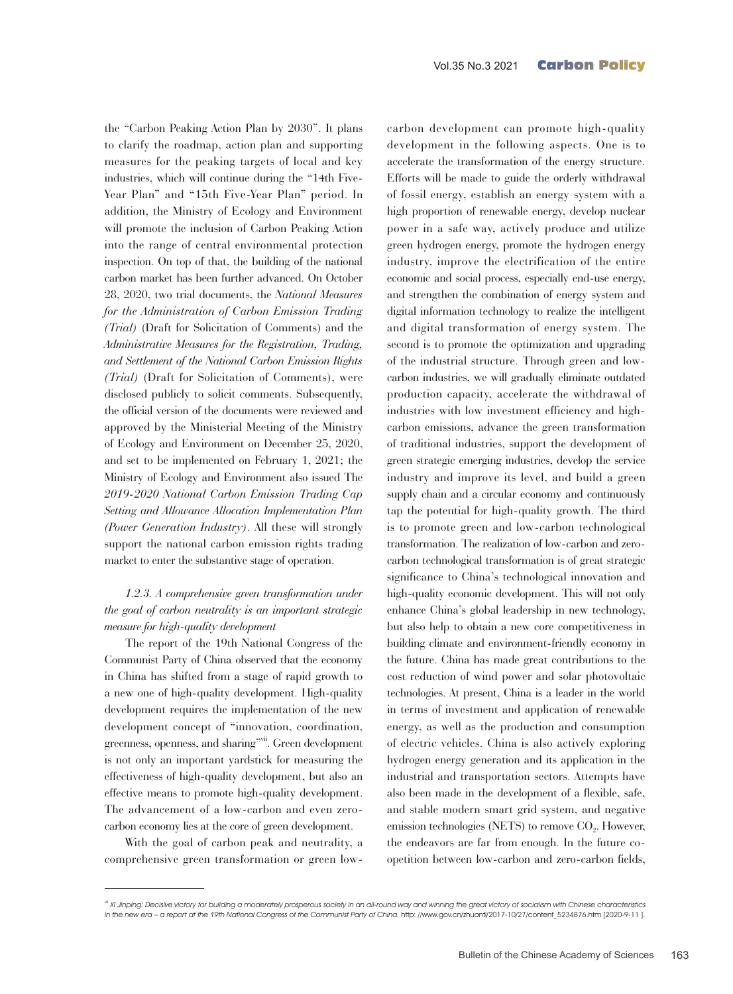the "Carbon Peaking Action Plan by 2030". It plans to clarify the roadmap, action plan and supporting measures for the peaking targets of local and key industries, which will continue during the "14th Five-Year Plan" and "15th Five-Year Plan" period. In addition, the Ministry of Ecology and Environment will promote the inclusion of Carbon Peaking Action into the range of central environmental protection inspection. On top of that, the building of the national carbon market has been further advanced. On October 28, 2020, two trial documents, the *National Measures for the Administration of Carbon Emission Trading (Trial)* (Draft for Solicitation of Comments) and the *Administrative Measures for the Registration, Trading, and Settlement of the National Carbon Emission Rights (Trial)* (Draft for Solicitation of Comments), were disclosed publicly to solicit comments. Subsequently, the official version of the documents were reviewed and approved by the Ministerial Meeting of the Ministry of Ecology and Environment on December 25, 2020, and set to be implemented on February 1, 2021; the Ministry of Ecology and Environment also issued The *2019-2020 National Carbon Emission Trading Cap Setting and Allowance Allocation Implementation Plan (Power Generation Industry)*. All these will strongly support the national carbon emission rights trading market to enter the substantive stage of operation.

## *1.2.3. A comprehensive green transformation under the goal of carbon neutrality is an important strategic measure for high-quality development*

The report of the 19th National Congress of the Communist Party of China observed that the economy in China has shifted from a stage of rapid growth to a new one of high-quality development. High-quality development requires the implementation of the new development concept of "innovation, coordination, greenness, openness, and sharing"vii. Green development is not only an important yardstick for measuring the effectiveness of high-quality development, but also an effective means to promote high-quality development. The advancement of a low-carbon and even zerocarbon economy lies at the core of green development.

With the goal of carbon peak and neutrality, a comprehensive green transformation or green lowcarbon development can promote high-quality development in the following aspects. One is to accelerate the transformation of the energy structure. Efforts will be made to guide the orderly withdrawal of fossil energy, establish an energy system with a high proportion of renewable energy, develop nuclear power in a safe way, actively produce and utilize green hydrogen energy, promote the hydrogen energy industry, improve the electrification of the entire economic and social process, especially end-use energy, and strengthen the combination of energy system and digital information technology to realize the intelligent and digital transformation of energy system. The second is to promote the optimization and upgrading of the industrial structure. Through green and lowcarbon industries, we will gradually eliminate outdated production capacity, accelerate the withdrawal of industries with low investment efficiency and highcarbon emissions, advance the green transformation of traditional industries, support the development of green strategic emerging industries, develop the service industry and improve its level, and build a green supply chain and a circular economy and continuously tap the potential for high-quality growth. The third is to promote green and low-carbon technological transformation. The realization of low-carbon and zerocarbon technological transformation is of great strategic significance to China's technological innovation and high-quality economic development. This will not only enhance China's global leadership in new technology, but also help to obtain a new core competitiveness in building climate and environment-friendly economy in the future. China has made great contributions to the cost reduction of wind power and solar photovoltaic technologies. At present, China is a leader in the world in terms of investment and application of renewable energy, as well as the production and consumption of electric vehicles. China is also actively exploring hydrogen energy generation and its application in the industrial and transportation sectors. Attempts have also been made in the development of a flexible, safe, and stable modern smart grid system, and negative emission technologies (NETS) to remove  $CO<sub>2</sub>$ . However, the endeavors are far from enough. In the future coopetition between low-carbon and zero-carbon fields,

<sup>&</sup>lt;sup>vii</sup> XI Jinping: Decisive victory for building a moderately prosperous society in an all-round way and winning the great victory of socialism with Chinese characteristics in the new era – a report at the 19th National Congress of the Communist Party of China. http: //www.gov.cn/zhuanti/2017-10/27/content\_5234876.htm [2020-9-11 ].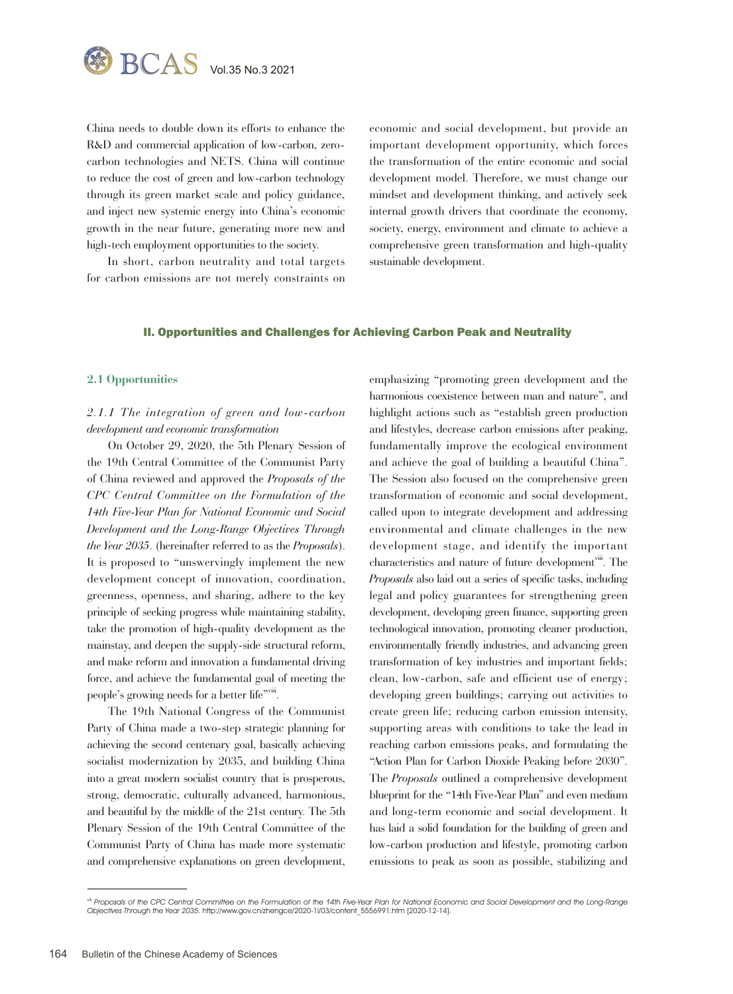

China needs to double down its efforts to enhance the R&D and commercial application of low-carbon, zerocarbon technologies and NETS. China will continue to reduce the cost of green and low-carbon technology through its green market scale and policy guidance, and inject new systemic energy into China's economic growth in the near future, generating more new and high-tech employment opportunities to the society.

In short, carbon neutrality and total targets for carbon emissions are not merely constraints on economic and social development, but provide an important development opportunity, which forces the transformation of the entire economic and social development model. Therefore, we must change our mindset and development thinking, and actively seek internal growth drivers that coordinate the economy, society, energy, environment and climate to achieve a comprehensive green transformation and high-quality sustainable development.

#### II. Opportunities and Challenges for Achieving Carbon Peak and Neutrality

#### **2.1 Opportunities**

# *2.1.1 The integration of green and low-carbon development and economic transformation*

On October 29, 2020, the 5th Plenary Session of the 19th Central Committee of the Communist Party of China reviewed and approved the *Proposals of the CPC Central Committee on the Formulation of the 14th Five-Year Plan for National Economic and Social Development and the Long-Range Objectives Through the Year 2035*. (hereinafter referred to as the *Proposals*). It is proposed to "unswervingly implement the new development concept of innovation, coordination, greenness, openness, and sharing, adhere to the key principle of seeking progress while maintaining stability, take the promotion of high-quality development as the mainstay, and deepen the supply-side structural reform, and make reform and innovation a fundamental driving force, and achieve the fundamental goal of meeting the people's growing needs for a better life"viii.

The 19th National Congress of the Communist Party of China made a two-step strategic planning for achieving the second centenary goal, basically achieving socialist modernization by 2035, and building China into a great modern socialist country that is prosperous, strong, democratic, culturally advanced, harmonious, and beautiful by the middle of the 21st century. The 5th Plenary Session of the 19th Central Committee of the Communist Party of China has made more systematic and comprehensive explanations on green development, emphasizing "promoting green development and the harmonious coexistence between man and nature", and highlight actions such as "establish green production and lifestyles, decrease carbon emissions after peaking, fundamentally improve the ecological environment and achieve the goal of building a beautiful China". The Session also focused on the comprehensive green transformation of economic and social development, called upon to integrate development and addressing environmental and climate challenges in the new development stage, and identify the important characteristics and nature of future development<sup>viii</sup>. The *Proposals* also laid out a series of specific tasks, including legal and policy guarantees for strengthening green development, developing green finance, supporting green technological innovation, promoting cleaner production, environmentally friendly industries, and advancing green transformation of key industries and important fields; clean, low-carbon, safe and efficient use of energy; developing green buildings; carrying out activities to create green life; reducing carbon emission intensity, supporting areas with conditions to take the lead in reaching carbon emissions peaks, and formulating the "Action Plan for Carbon Dioxide Peaking before 2030". The *Proposals* outlined a comprehensive development blueprint for the "14th Five-Year Plan" and even medium and long-term economic and social development. It has laid a solid foundation for the building of green and low-carbon production and lifestyle, promoting carbon emissions to peak as soon as possible, stabilizing and

<sup>&</sup>lt;sup>ii</sup> Proposals of the CPC Central Committee on the Formulation of the 14th Five-Year Plan for National Economic and Social Development and the Long-Range Objectives Through the Year 2035. http://www.gov.cn/zhengce/2020-1l/03/content\_5556991.htm [2020-12-14].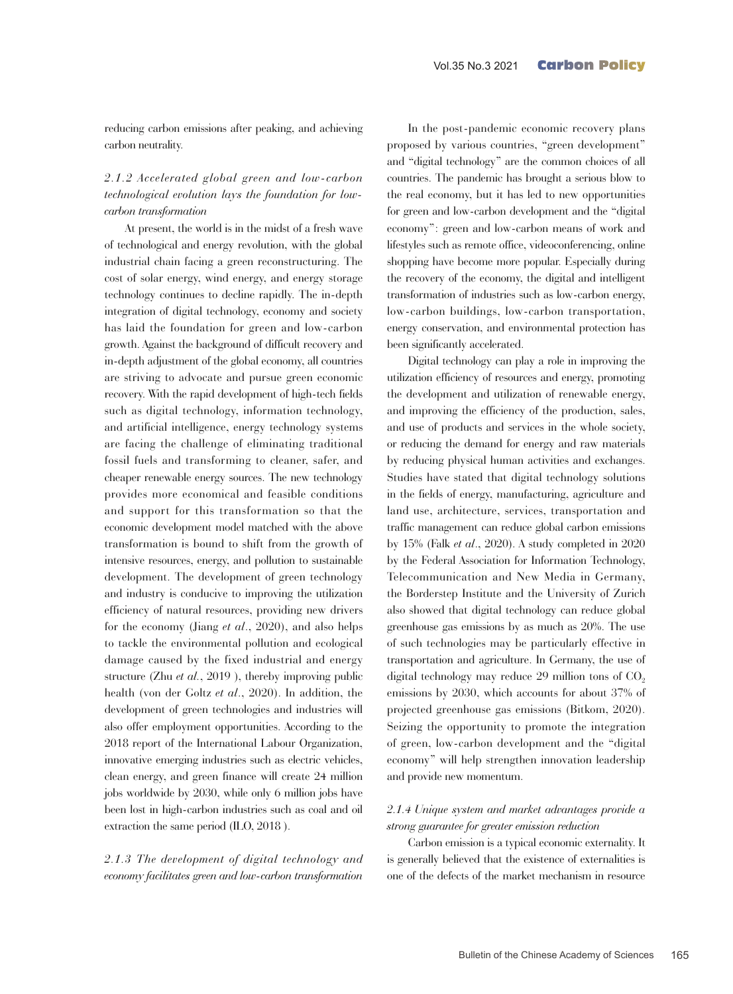reducing carbon emissions after peaking, and achieving carbon neutrality.

# *2.1.2 Accelerated global green and low-carbon technological evolution lays the foundation for lowcarbon transformation*

At present, the world is in the midst of a fresh wave of technological and energy revolution, with the global industrial chain facing a green reconstructuring. The cost of solar energy, wind energy, and energy storage technology continues to decline rapidly. The in-depth integration of digital technology, economy and society has laid the foundation for green and low-carbon growth. Against the background of difficult recovery and in-depth adjustment of the global economy, all countries are striving to advocate and pursue green economic recovery. With the rapid development of high-tech fields such as digital technology, information technology, and artificial intelligence, energy technology systems are facing the challenge of eliminating traditional fossil fuels and transforming to cleaner, safer, and cheaper renewable energy sources. The new technology provides more economical and feasible conditions and support for this transformation so that the economic development model matched with the above transformation is bound to shift from the growth of intensive resources, energy, and pollution to sustainable development. The development of green technology and industry is conducive to improving the utilization efficiency of natural resources, providing new drivers for the economy (Jiang *et al*., 2020), and also helps to tackle the environmental pollution and ecological damage caused by the fixed industrial and energy structure (Zhu *et al.*, 2019 ), thereby improving public health (von der Goltz *et al*., 2020). In addition, the development of green technologies and industries will also offer employment opportunities. According to the 2018 report of the International Labour Organization, innovative emerging industries such as electric vehicles, clean energy, and green finance will create 24 million jobs worldwide by 2030, while only 6 million jobs have been lost in high-carbon industries such as coal and oil extraction the same period (ILO, 2018 ).

*2.1.3 The development of digital technology and economy facilitates green and low-carbon transformation*

In the post-pandemic economic recovery plans proposed by various countries, "green development" and "digital technology" are the common choices of all countries. The pandemic has brought a serious blow to the real economy, but it has led to new opportunities for green and low-carbon development and the "digital economy": green and low-carbon means of work and lifestyles such as remote office, videoconferencing, online shopping have become more popular. Especially during the recovery of the economy, the digital and intelligent transformation of industries such as low-carbon energy, low-carbon buildings, low-carbon transportation, energy conservation, and environmental protection has been significantly accelerated.

Digital technology can play a role in improving the utilization efficiency of resources and energy, promoting the development and utilization of renewable energy, and improving the efficiency of the production, sales, and use of products and services in the whole society, or reducing the demand for energy and raw materials by reducing physical human activities and exchanges. Studies have stated that digital technology solutions in the fields of energy, manufacturing, agriculture and land use, architecture, services, transportation and traffic management can reduce global carbon emissions by 15% (Falk *et al*., 2020). A study completed in 2020 by the Federal Association for Information Technology, Telecommunication and New Media in Germany, the Borderstep Institute and the University of Zurich also showed that digital technology can reduce global greenhouse gas emissions by as much as 20%. The use of such technologies may be particularly effective in transportation and agriculture. In Germany, the use of digital technology may reduce 29 million tons of  $CO<sub>2</sub>$ emissions by 2030, which accounts for about 37% of projected greenhouse gas emissions (Bitkom, 2020). Seizing the opportunity to promote the integration of green, low-carbon development and the "digital economy" will help strengthen innovation leadership and provide new momentum.

## *2.1.4 Unique system and market advantages provide a strong guarantee for greater emission reduction*

Carbon emission is a typical economic externality. It is generally believed that the existence of externalities is one of the defects of the market mechanism in resource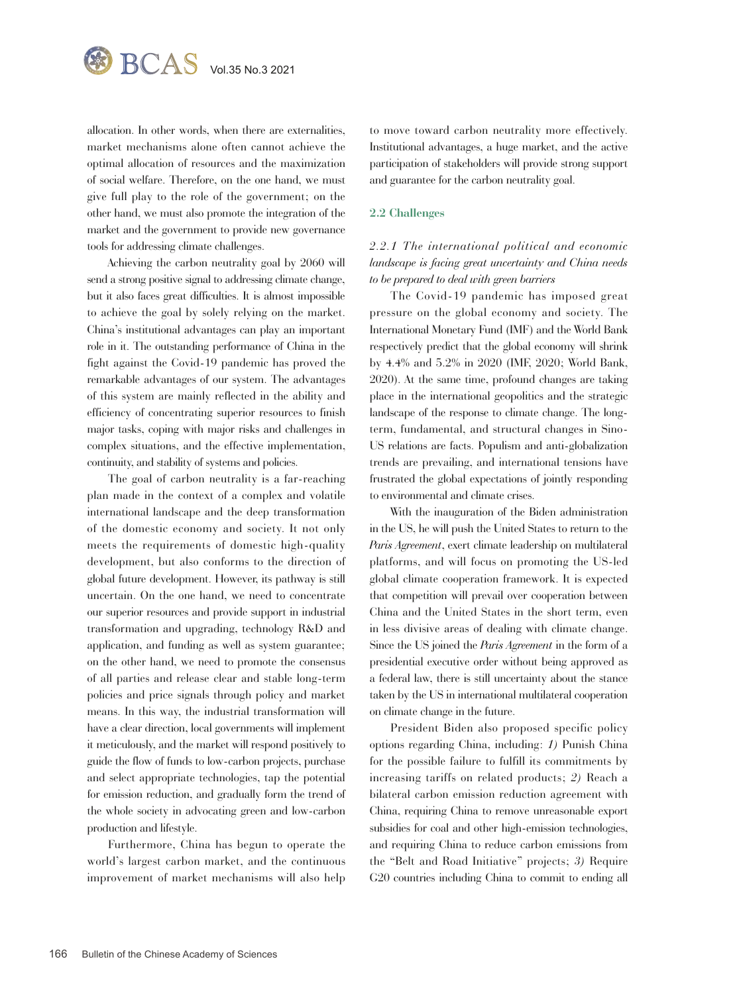

allocation. In other words, when there are externalities, market mechanisms alone often cannot achieve the optimal allocation of resources and the maximization of social welfare. Therefore, on the one hand, we must give full play to the role of the government; on the other hand, we must also promote the integration of the market and the government to provide new governance tools for addressing climate challenges.

Achieving the carbon neutrality goal by 2060 will send a strong positive signal to addressing climate change, but it also faces great difficulties. It is almost impossible to achieve the goal by solely relying on the market. China's institutional advantages can play an important role in it. The outstanding performance of China in the fight against the Covid-19 pandemic has proved the remarkable advantages of our system. The advantages of this system are mainly reflected in the ability and efficiency of concentrating superior resources to finish major tasks, coping with major risks and challenges in complex situations, and the effective implementation, continuity, and stability of systems and policies.

The goal of carbon neutrality is a far-reaching plan made in the context of a complex and volatile international landscape and the deep transformation of the domestic economy and society. It not only meets the requirements of domestic high-quality development, but also conforms to the direction of global future development. However, its pathway is still uncertain. On the one hand, we need to concentrate our superior resources and provide support in industrial transformation and upgrading, technology R&D and application, and funding as well as system guarantee; on the other hand, we need to promote the consensus of all parties and release clear and stable long-term policies and price signals through policy and market means. In this way, the industrial transformation will have a clear direction, local governments will implement it meticulously, and the market will respond positively to guide the flow of funds to low-carbon projects, purchase and select appropriate technologies, tap the potential for emission reduction, and gradually form the trend of the whole society in advocating green and low-carbon production and lifestyle.

Furthermore, China has begun to operate the world's largest carbon market, and the continuous improvement of market mechanisms will also help

to move toward carbon neutrality more effectively. Institutional advantages, a huge market, and the active participation of stakeholders will provide strong support and guarantee for the carbon neutrality goal.

#### **2.2 Challenges**

# *2.2.1 The international political and economic landscape is facing great uncertainty and China needs to be prepared to deal with green barriers*

The Covid-19 pandemic has imposed great pressure on the global economy and society. The International Monetary Fund (IMF) and the World Bank respectively predict that the global economy will shrink by 4.4% and 5.2% in 2020 (IMF, 2020; World Bank, 2020). At the same time, profound changes are taking place in the international geopolitics and the strategic landscape of the response to climate change. The longterm, fundamental, and structural changes in Sino-US relations are facts. Populism and anti-globalization trends are prevailing, and international tensions have frustrated the global expectations of jointly responding to environmental and climate crises.

With the inauguration of the Biden administration in the US, he will push the United States to return to the *Paris Agreement*, exert climate leadership on multilateral platforms, and will focus on promoting the US-led global climate cooperation framework. It is expected that competition will prevail over cooperation between China and the United States in the short term, even in less divisive areas of dealing with climate change. Since the US joined the *Paris Agreement* in the form of a presidential executive order without being approved as a federal law, there is still uncertainty about the stance taken by the US in international multilateral cooperation on climate change in the future.

President Biden also proposed specific policy options regarding China, including: *1)* Punish China for the possible failure to fulfill its commitments by increasing tariffs on related products; *2)* Reach a bilateral carbon emission reduction agreement with China, requiring China to remove unreasonable export subsidies for coal and other high-emission technologies, and requiring China to reduce carbon emissions from the "Belt and Road Initiative" projects; *3)* Require G20 countries including China to commit to ending all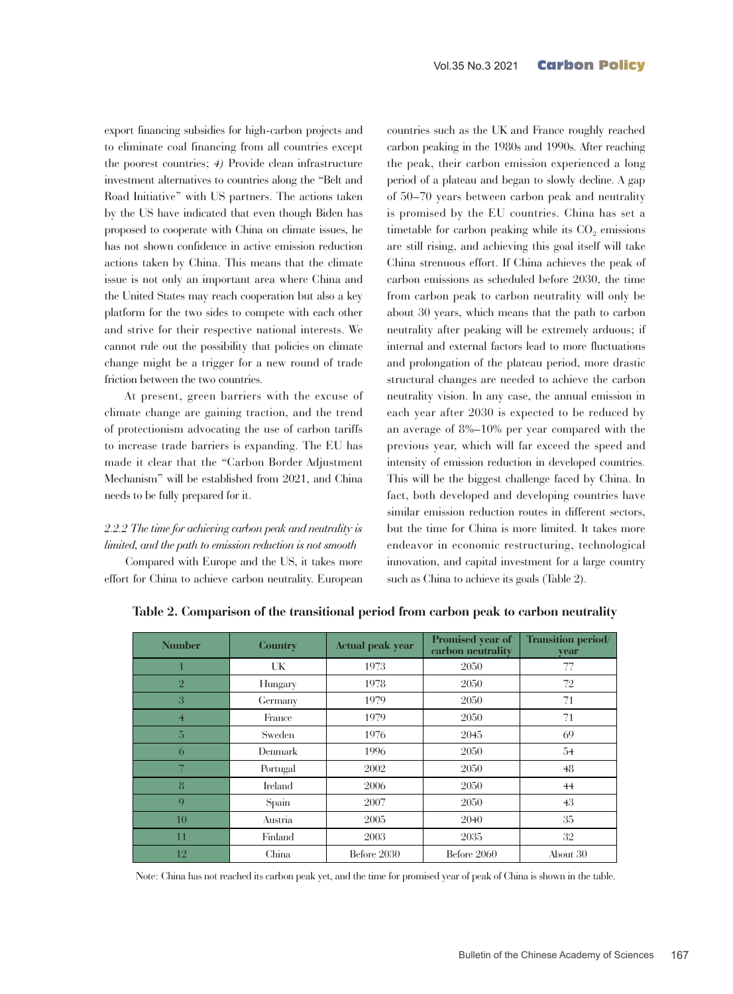export financing subsidies for high-carbon projects and to eliminate coal financing from all countries except the poorest countries; *4)* Provide clean infrastructure investment alternatives to countries along the "Belt and Road Initiative" with US partners. The actions taken by the US have indicated that even though Biden has proposed to cooperate with China on climate issues, he has not shown confidence in active emission reduction actions taken by China. This means that the climate issue is not only an important area where China and the United States may reach cooperation but also a key platform for the two sides to compete with each other and strive for their respective national interests. We cannot rule out the possibility that policies on climate change might be a trigger for a new round of trade friction between the two countries.

At present, green barriers with the excuse of climate change are gaining traction, and the trend of protectionism advocating the use of carbon tariffs to increase trade barriers is expanding. The EU has made it clear that the "Carbon Border Adjustment Mechanism" will be established from 2021, and China needs to be fully prepared for it.

# *2.2.2 The time for achieving carbon peak and neutrality is limited, and the path to emission reduction is not smooth*

Compared with Europe and the US, it takes more effort for China to achieve carbon neutrality. European countries such as the UK and France roughly reached carbon peaking in the 1980s and 1990s. After reaching the peak, their carbon emission experienced a long period of a plateau and began to slowly decline. A gap of 50–70 years between carbon peak and neutrality is promised by the EU countries. China has set a timetable for carbon peaking while its  $CO<sub>2</sub>$  emissions are still rising, and achieving this goal itself will take China strenuous effort. If China achieves the peak of carbon emissions as scheduled before 2030, the time from carbon peak to carbon neutrality will only be about 30 years, which means that the path to carbon neutrality after peaking will be extremely arduous; if internal and external factors lead to more fluctuations and prolongation of the plateau period, more drastic structural changes are needed to achieve the carbon neutrality vision. In any case, the annual emission in each year after 2030 is expected to be reduced by an average of 8%–10% per year compared with the previous year, which will far exceed the speed and intensity of emission reduction in developed countries. This will be the biggest challenge faced by China. In fact, both developed and developing countries have similar emission reduction routes in different sectors, but the time for China is more limited. It takes more endeavor in economic restructuring, technological innovation, and capital investment for a large country such as China to achieve its goals (Table 2).

| <b>Number</b>  | <b>Country</b> | <b>Actual peak year</b> | Promised year of<br>carbon neutrality | <b>Transition period/</b><br>vear |
|----------------|----------------|-------------------------|---------------------------------------|-----------------------------------|
|                | UK             | 1973                    | 2050                                  | 77                                |
| $\overline{2}$ | Hungary        | 1978                    | 2050                                  | 72                                |
| 3              | Germany        | 1979                    | 2050                                  | 71                                |
| $\overline{4}$ | France         | 1979                    | 2050                                  | 71                                |
| 5              | Sweden         | 1976                    | 2045                                  | 69                                |
| 6              | Denmark        | 1996                    | 2050                                  | 54                                |
| 7              | Portugal       | 2002                    | 2050                                  | 48                                |
| 8              | Ireland        | 2006                    | 2050                                  | 44                                |
| $\mathbf Q$    | Spain          | 2007                    | 2050                                  | 43                                |
| 10             | Austria        | 2005                    | 2040                                  | 35                                |
| 11             | Finland        | 2003                    | 2035                                  | 32                                |
| 12             | China          | Before 2030             | Before 2060                           | About 30                          |

**Table 2. Comparison of the transitional period from carbon peak to carbon neutrality**

Note: China has not reached its carbon peak yet, and the time for promised year of peak of China is shown in the table.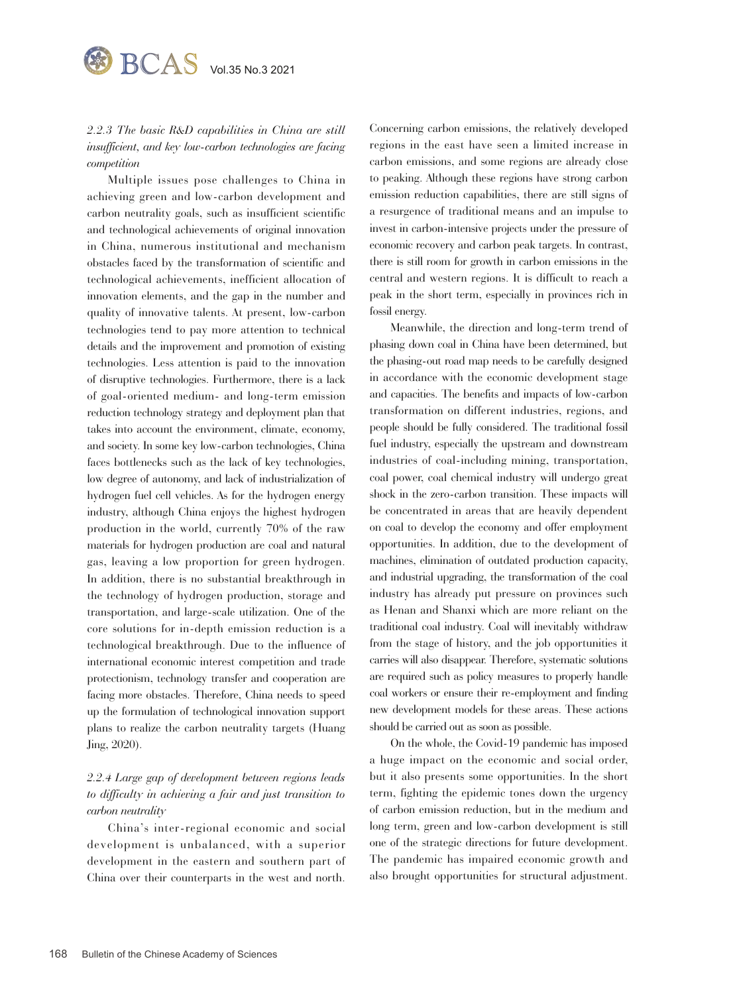

*2.2.3 The basic R&D capabilities in China are still insufficient, and key low-carbon technologies are facing competition*

Multiple issues pose challenges to China in achieving green and low-carbon development and carbon neutrality goals, such as insufficient scientific and technological achievements of original innovation in China, numerous institutional and mechanism obstacles faced by the transformation of scientific and technological achievements, inefficient allocation of innovation elements, and the gap in the number and quality of innovative talents. At present, low-carbon technologies tend to pay more attention to technical details and the improvement and promotion of existing technologies. Less attention is paid to the innovation of disruptive technologies. Furthermore, there is a lack of goal-oriented medium- and long-term emission reduction technology strategy and deployment plan that takes into account the environment, climate, economy, and society. In some key low-carbon technologies, China faces bottlenecks such as the lack of key technologies, low degree of autonomy, and lack of industrialization of hydrogen fuel cell vehicles. As for the hydrogen energy industry, although China enjoys the highest hydrogen production in the world, currently 70% of the raw materials for hydrogen production are coal and natural gas, leaving a low proportion for green hydrogen. In addition, there is no substantial breakthrough in the technology of hydrogen production, storage and transportation, and large-scale utilization. One of the core solutions for in-depth emission reduction is a technological breakthrough. Due to the influence of international economic interest competition and trade protectionism, technology transfer and cooperation are facing more obstacles. Therefore, China needs to speed up the formulation of technological innovation support plans to realize the carbon neutrality targets (Huang Jing, 2020).

# *2.2.4 Large gap of development between regions leads to difficulty in achieving a fair and just transition to carbon neutrality*

China's inter-regional economic and social development is unbalanced, with a superior development in the eastern and southern part of China over their counterparts in the west and north.

Concerning carbon emissions, the relatively developed regions in the east have seen a limited increase in carbon emissions, and some regions are already close to peaking. Although these regions have strong carbon emission reduction capabilities, there are still signs of a resurgence of traditional means and an impulse to invest in carbon-intensive projects under the pressure of economic recovery and carbon peak targets. In contrast, there is still room for growth in carbon emissions in the central and western regions. It is difficult to reach a peak in the short term, especially in provinces rich in fossil energy.

Meanwhile, the direction and long-term trend of phasing down coal in China have been determined, but the phasing-out road map needs to be carefully designed in accordance with the economic development stage and capacities. The benefits and impacts of low-carbon transformation on different industries, regions, and people should be fully considered. The traditional fossil fuel industry, especially the upstream and downstream industries of coal-including mining, transportation, coal power, coal chemical industry will undergo great shock in the zero-carbon transition. These impacts will be concentrated in areas that are heavily dependent on coal to develop the economy and offer employment opportunities. In addition, due to the development of machines, elimination of outdated production capacity, and industrial upgrading, the transformation of the coal industry has already put pressure on provinces such as Henan and Shanxi which are more reliant on the traditional coal industry. Coal will inevitably withdraw from the stage of history, and the job opportunities it carries will also disappear. Therefore, systematic solutions are required such as policy measures to properly handle coal workers or ensure their re-employment and finding new development models for these areas. These actions should be carried out as soon as possible.

On the whole, the Covid-19 pandemic has imposed a huge impact on the economic and social order, but it also presents some opportunities. In the short term, fighting the epidemic tones down the urgency of carbon emission reduction, but in the medium and long term, green and low-carbon development is still one of the strategic directions for future development. The pandemic has impaired economic growth and also brought opportunities for structural adjustment.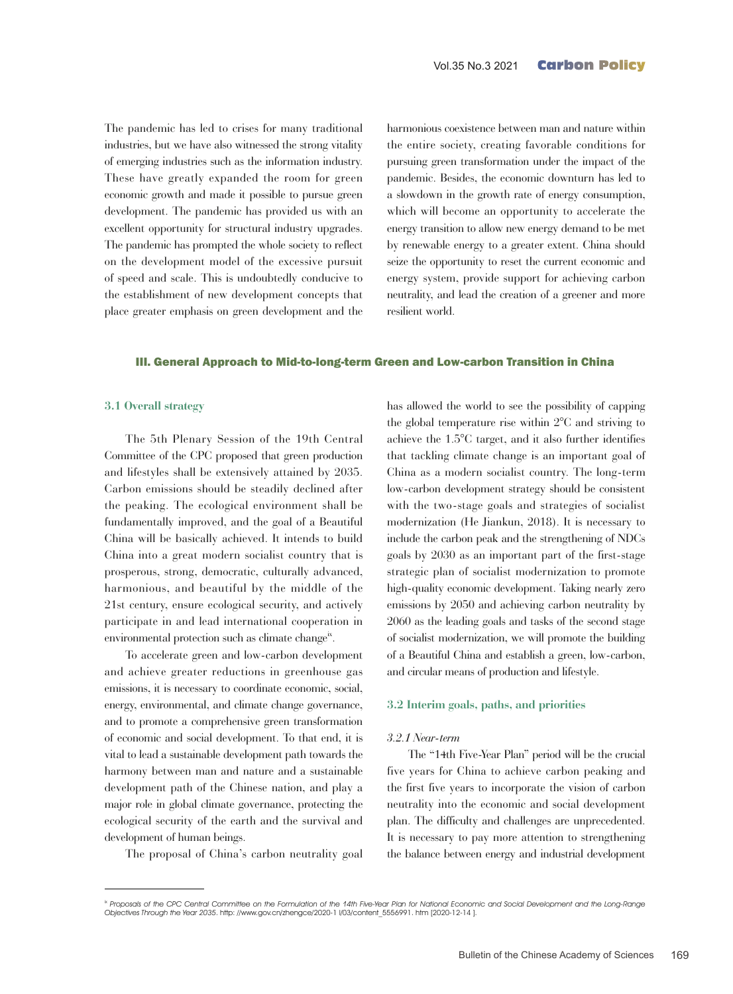The pandemic has led to crises for many traditional industries, but we have also witnessed the strong vitality of emerging industries such as the information industry. These have greatly expanded the room for green economic growth and made it possible to pursue green development. The pandemic has provided us with an excellent opportunity for structural industry upgrades. The pandemic has prompted the whole society to reflect on the development model of the excessive pursuit of speed and scale. This is undoubtedly conducive to the establishment of new development concepts that place greater emphasis on green development and the

harmonious coexistence between man and nature within the entire society, creating favorable conditions for pursuing green transformation under the impact of the pandemic. Besides, the economic downturn has led to a slowdown in the growth rate of energy consumption, which will become an opportunity to accelerate the energy transition to allow new energy demand to be met by renewable energy to a greater extent. China should seize the opportunity to reset the current economic and energy system, provide support for achieving carbon neutrality, and lead the creation of a greener and more resilient world.

#### III. General Approach to Mid-to-long-term Green and Low-carbon Transition in China

#### **3.1 Overall strategy**

The 5th Plenary Session of the 19th Central Committee of the CPC proposed that green production and lifestyles shall be extensively attained by 2035. Carbon emissions should be steadily declined after the peaking. The ecological environment shall be fundamentally improved, and the goal of a Beautiful China will be basically achieved. It intends to build China into a great modern socialist country that is prosperous, strong, democratic, culturally advanced, harmonious, and beautiful by the middle of the 21st century, ensure ecological security, and actively participate in and lead international cooperation in environmental protection such as climate change<sup>ix</sup>.

To accelerate green and low-carbon development and achieve greater reductions in greenhouse gas emissions, it is necessary to coordinate economic, social, energy, environmental, and climate change governance, and to promote a comprehensive green transformation of economic and social development. To that end, it is vital to lead a sustainable development path towards the harmony between man and nature and a sustainable development path of the Chinese nation, and play a major role in global climate governance, protecting the ecological security of the earth and the survival and development of human beings.

The proposal of China's carbon neutrality goal

has allowed the world to see the possibility of capping the global temperature rise within 2°C and striving to achieve the 1.5°C target, and it also further identifies that tackling climate change is an important goal of China as a modern socialist country. The long-term low-carbon development strategy should be consistent with the two-stage goals and strategies of socialist modernization (He Jiankun, 2018). It is necessary to include the carbon peak and the strengthening of NDCs goals by 2030 as an important part of the first-stage strategic plan of socialist modernization to promote high-quality economic development. Taking nearly zero emissions by 2050 and achieving carbon neutrality by 2060 as the leading goals and tasks of the second stage of socialist modernization, we will promote the building of a Beautiful China and establish a green, low-carbon, and circular means of production and lifestyle.

#### **3.2 Interim goals, paths, and priorities**

#### *3.2.1 Near-term*

The "14th Five-Year Plan" period will be the crucial five years for China to achieve carbon peaking and the first five years to incorporate the vision of carbon neutrality into the economic and social development plan. The difficulty and challenges are unprecedented. It is necessary to pay more attention to strengthening the balance between energy and industrial development

<sup>&</sup>lt;sup>ix</sup> Proposals of the CPC Central Committee on the Formulation of the 14th Five-Year Plan for National Economic and Social Development and the Long-Range Objectives Through the Year 2035. http: //www.gov.cn/zhengce/2020-1 l/03/content\_5556991. htm [2020-12-14 ].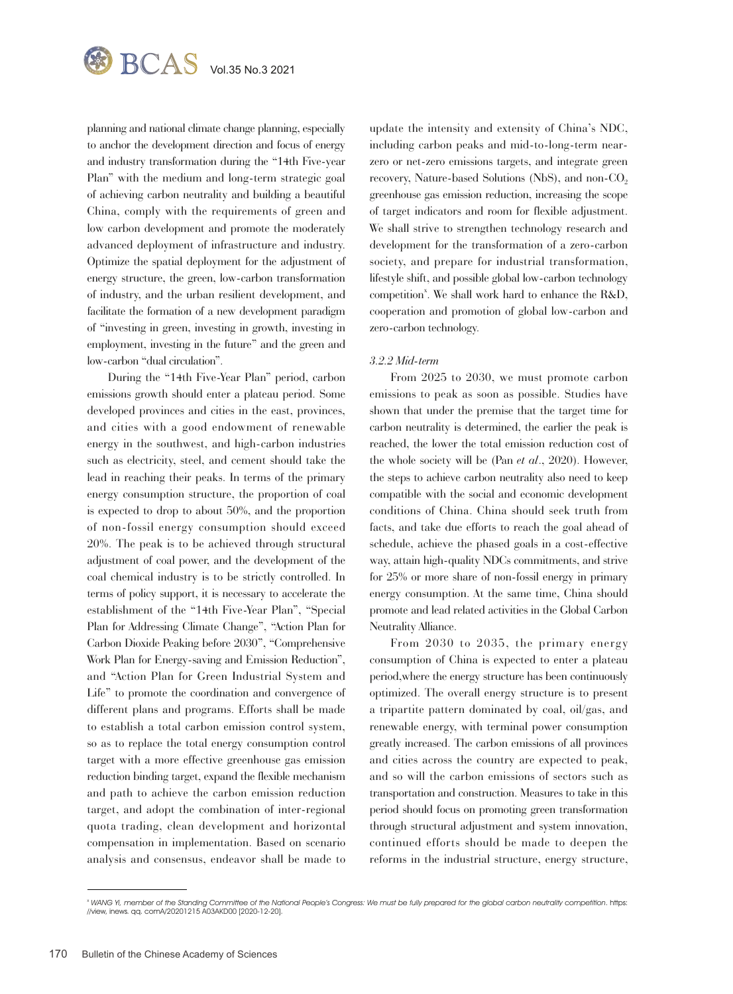

planning and national climate change planning, especially to anchor the development direction and focus of energy and industry transformation during the "14th Five-year Plan" with the medium and long-term strategic goal of achieving carbon neutrality and building a beautiful China, comply with the requirements of green and low carbon development and promote the moderately advanced deployment of infrastructure and industry. Optimize the spatial deployment for the adjustment of energy structure, the green, low-carbon transformation of industry, and the urban resilient development, and facilitate the formation of a new development paradigm of "investing in green, investing in growth, investing in employment, investing in the future" and the green and low-carbon "dual circulation".

During the "14th Five-Year Plan" period, carbon emissions growth should enter a plateau period. Some developed provinces and cities in the east, provinces, and cities with a good endowment of renewable energy in the southwest, and high-carbon industries such as electricity, steel, and cement should take the lead in reaching their peaks. In terms of the primary energy consumption structure, the proportion of coal is expected to drop to about 50%, and the proportion of non-fossil energy consumption should exceed 20%. The peak is to be achieved through structural adjustment of coal power, and the development of the coal chemical industry is to be strictly controlled. In terms of policy support, it is necessary to accelerate the establishment of the "14th Five-Year Plan", "Special Plan for Addressing Climate Change", "Action Plan for Carbon Dioxide Peaking before 2030", "Comprehensive Work Plan for Energy-saving and Emission Reduction", and "Action Plan for Green Industrial System and Life" to promote the coordination and convergence of different plans and programs. Efforts shall be made to establish a total carbon emission control system, so as to replace the total energy consumption control target with a more effective greenhouse gas emission reduction binding target, expand the flexible mechanism and path to achieve the carbon emission reduction target, and adopt the combination of inter-regional quota trading, clean development and horizontal compensation in implementation. Based on scenario analysis and consensus, endeavor shall be made to

update the intensity and extensity of China's NDC, including carbon peaks and mid-to-long-term nearzero or net-zero emissions targets, and integrate green recovery, Nature-based Solutions (NbS), and non-CO<sub>2</sub> greenhouse gas emission reduction, increasing the scope of target indicators and room for flexible adjustment. We shall strive to strengthen technology research and development for the transformation of a zero-carbon society, and prepare for industrial transformation, lifestyle shift, and possible global low-carbon technology competition<sup>x</sup>. We shall work hard to enhance the R&D, cooperation and promotion of global low-carbon and zero-carbon technology.

#### *3.2.2 Mid-term*

From 2025 to 2030, we must promote carbon emissions to peak as soon as possible. Studies have shown that under the premise that the target time for carbon neutrality is determined, the earlier the peak is reached, the lower the total emission reduction cost of the whole society will be (Pan *et al*., 2020). However, the steps to achieve carbon neutrality also need to keep compatible with the social and economic development conditions of China. China should seek truth from facts, and take due efforts to reach the goal ahead of schedule, achieve the phased goals in a cost-effective way, attain high-quality NDCs commitments, and strive for 25% or more share of non-fossil energy in primary energy consumption. At the same time, China should promote and lead related activities in the Global Carbon Neutrality Alliance.

From 2030 to 2035, the primary energy consumption of China is expected to enter a plateau period,where the energy structure has been continuously optimized. The overall energy structure is to present a tripartite pattern dominated by coal, oil/gas, and renewable energy, with terminal power consumption greatly increased. The carbon emissions of all provinces and cities across the country are expected to peak, and so will the carbon emissions of sectors such as transportation and construction. Measures to take in this period should focus on promoting green transformation through structural adjustment and system innovation, continued efforts should be made to deepen the reforms in the industrial structure, energy structure,

<sup>x</sup> WANG Yi, member of the Standing Committee of the National People's Congress: We must be fully prepared for the global carbon neutrality competition. https: //view, inews. qq. comA/20201215 A03AKD00 [2020-12-20].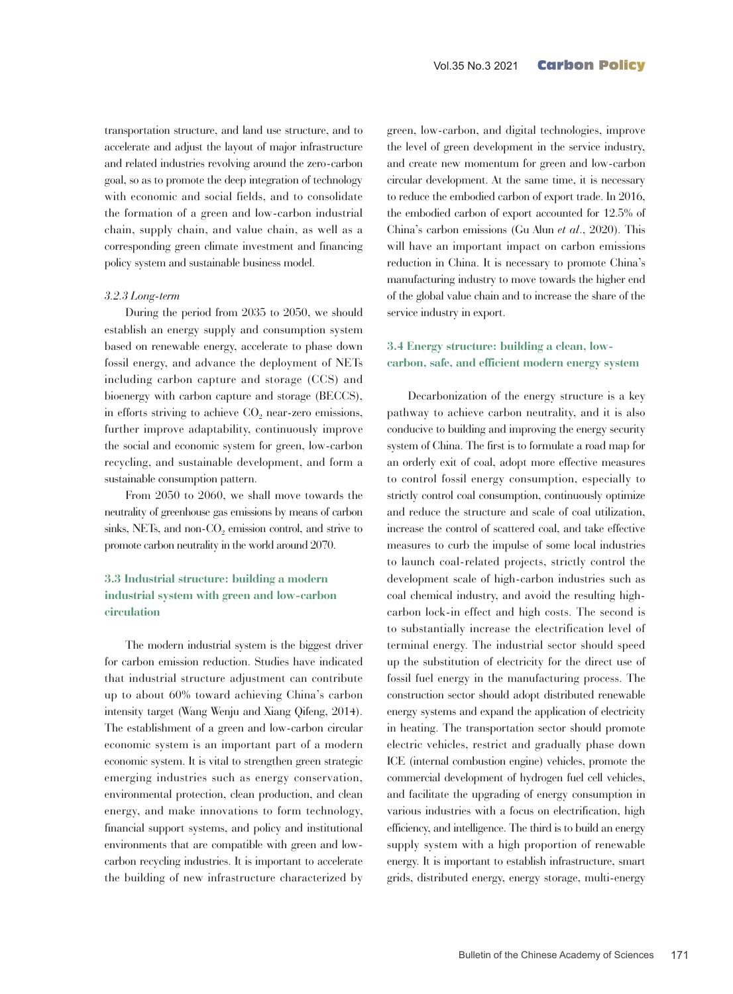transportation structure, and land use structure, and to accelerate and adjust the layout of major infrastructure and related industries revolving around the zero-carbon goal, so as to promote the deep integration of technology with economic and social fields, and to consolidate the formation of a green and low-carbon industrial chain, supply chain, and value chain, as well as a corresponding green climate investment and financing policy system and sustainable business model.

#### *3.2.3 Long-term*

During the period from 2035 to 2050, we should establish an energy supply and consumption system based on renewable energy, accelerate to phase down fossil energy, and advance the deployment of NETs including carbon capture and storage (CCS) and bioenergy with carbon capture and storage (BECCS), in efforts striving to achieve  $CO<sub>2</sub>$  near-zero emissions, further improve adaptability, continuously improve the social and economic system for green, low-carbon recycling, and sustainable development, and form a sustainable consumption pattern.

From 2050 to 2060, we shall move towards the neutrality of greenhouse gas emissions by means of carbon sinks, NETs, and non- $CO<sub>2</sub>$  emission control, and strive to promote carbon neutrality in the world around 2070.

## **3.3 Industrial structure: building a modern industrial system with green and low-carbon circulation**

The modern industrial system is the biggest driver for carbon emission reduction. Studies have indicated that industrial structure adjustment can contribute up to about 60% toward achieving China's carbon intensity target (Wang Wenju and Xiang Qifeng, 2014). The establishment of a green and low-carbon circular economic system is an important part of a modern economic system. It is vital to strengthen green strategic emerging industries such as energy conservation, environmental protection, clean production, and clean energy, and make innovations to form technology, financial support systems, and policy and institutional environments that are compatible with green and lowcarbon recycling industries. It is important to accelerate the building of new infrastructure characterized by

green, low-carbon, and digital technologies, improve the level of green development in the service industry, and create new momentum for green and low-carbon circular development. At the same time, it is necessary to reduce the embodied carbon of export trade. In 2016, the embodied carbon of export accounted for 12.5% of China's carbon emissions (Gu Alun *et al*., 2020). This will have an important impact on carbon emissions reduction in China. It is necessary to promote China's manufacturing industry to move towards the higher end of the global value chain and to increase the share of the service industry in export.

#### **3.4 Energy structure: building a clean, lowcarbon, safe, and efficient modern energy system**

Decarbonization of the energy structure is a key pathway to achieve carbon neutrality, and it is also conducive to building and improving the energy security system of China. The first is to formulate a road map for an orderly exit of coal, adopt more effective measures to control fossil energy consumption, especially to strictly control coal consumption, continuously optimize and reduce the structure and scale of coal utilization, increase the control of scattered coal, and take effective measures to curb the impulse of some local industries to launch coal-related projects, strictly control the development scale of high-carbon industries such as coal chemical industry, and avoid the resulting highcarbon lock-in effect and high costs. The second is to substantially increase the electrification level of terminal energy. The industrial sector should speed up the substitution of electricity for the direct use of fossil fuel energy in the manufacturing process. The construction sector should adopt distributed renewable energy systems and expand the application of electricity in heating. The transportation sector should promote electric vehicles, restrict and gradually phase down ICE (internal combustion engine) vehicles, promote the commercial development of hydrogen fuel cell vehicles, and facilitate the upgrading of energy consumption in various industries with a focus on electrification, high efficiency, and intelligence. The third is to build an energy supply system with a high proportion of renewable energy. It is important to establish infrastructure, smart grids, distributed energy, energy storage, multi-energy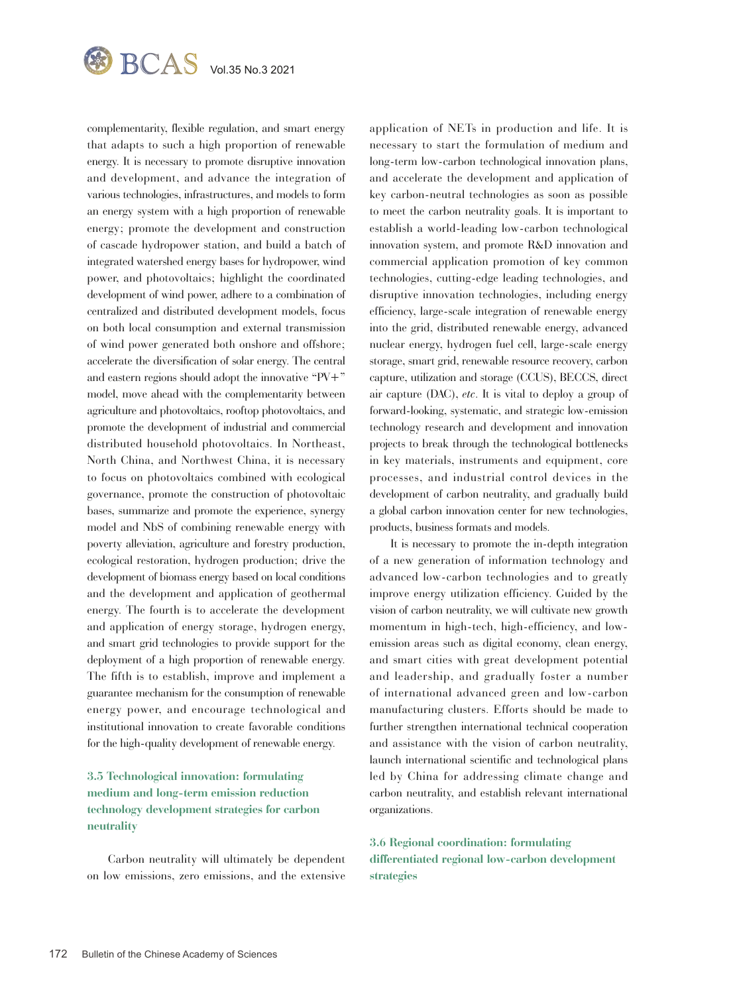

complementarity, flexible regulation, and smart energy that adapts to such a high proportion of renewable energy. It is necessary to promote disruptive innovation and development, and advance the integration of various technologies, infrastructures, and models to form an energy system with a high proportion of renewable energy; promote the development and construction of cascade hydropower station, and build a batch of integrated watershed energy bases for hydropower, wind power, and photovoltaics; highlight the coordinated development of wind power, adhere to a combination of centralized and distributed development models, focus on both local consumption and external transmission of wind power generated both onshore and offshore; accelerate the diversification of solar energy. The central and eastern regions should adopt the innovative "PV+" model, move ahead with the complementarity between agriculture and photovoltaics, rooftop photovoltaics, and promote the development of industrial and commercial distributed household photovoltaics. In Northeast, North China, and Northwest China, it is necessary to focus on photovoltaics combined with ecological governance, promote the construction of photovoltaic bases, summarize and promote the experience, synergy model and NbS of combining renewable energy with poverty alleviation, agriculture and forestry production, ecological restoration, hydrogen production; drive the development of biomass energy based on local conditions and the development and application of geothermal energy. The fourth is to accelerate the development and application of energy storage, hydrogen energy, and smart grid technologies to provide support for the deployment of a high proportion of renewable energy. The fifth is to establish, improve and implement a guarantee mechanism for the consumption of renewable energy power, and encourage technological and institutional innovation to create favorable conditions for the high-quality development of renewable energy.

# **3.5 Technological innovation: formulating medium and long-term emission reduction technology development strategies for carbon neutrality**

Carbon neutrality will ultimately be dependent on low emissions, zero emissions, and the extensive application of NETs in production and life. It is necessary to start the formulation of medium and long-term low-carbon technological innovation plans, and accelerate the development and application of key carbon-neutral technologies as soon as possible to meet the carbon neutrality goals. It is important to establish a world-leading low-carbon technological innovation system, and promote R&D innovation and commercial application promotion of key common technologies, cutting-edge leading technologies, and disruptive innovation technologies, including energy efficiency, large-scale integration of renewable energy into the grid, distributed renewable energy, advanced nuclear energy, hydrogen fuel cell, large-scale energy storage, smart grid, renewable resource recovery, carbon capture, utilization and storage (CCUS), BECCS, direct air capture (DAC), *etc*. It is vital to deploy a group of forward-looking, systematic, and strategic low-emission technology research and development and innovation projects to break through the technological bottlenecks in key materials, instruments and equipment, core processes, and industrial control devices in the development of carbon neutrality, and gradually build a global carbon innovation center for new technologies, products, business formats and models.

It is necessary to promote the in-depth integration of a new generation of information technology and advanced low-carbon technologies and to greatly improve energy utilization efficiency. Guided by the vision of carbon neutrality, we will cultivate new growth momentum in high-tech, high-efficiency, and lowemission areas such as digital economy, clean energy, and smart cities with great development potential and leadership, and gradually foster a number of international advanced green and low-carbon manufacturing clusters. Efforts should be made to further strengthen international technical cooperation and assistance with the vision of carbon neutrality, launch international scientific and technological plans led by China for addressing climate change and carbon neutrality, and establish relevant international organizations.

**3.6 Regional coordination: formulating differentiated regional low-carbon development strategies**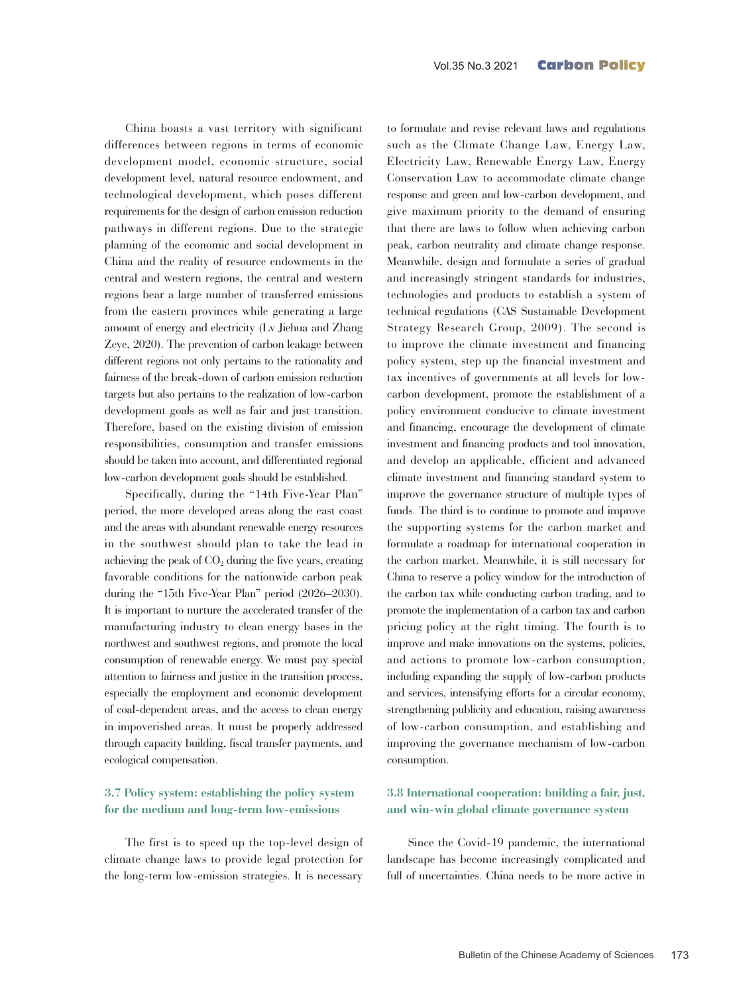China boasts a vast territory with significant differences between regions in terms of economic development model, economic structure, social development level, natural resource endowment, and technological development, which poses different requirements for the design of carbon emission reduction pathways in different regions. Due to the strategic planning of the economic and social development in China and the reality of resource endowments in the central and western regions, the central and western regions bear a large number of transferred emissions from the eastern provinces while generating a large amount of energy and electricity (Lv Jiehua and Zhang Zeye, 2020). The prevention of carbon leakage between different regions not only pertains to the rationality and fairness of the break-down of carbon emission reduction targets but also pertains to the realization of low-carbon development goals as well as fair and just transition. Therefore, based on the existing division of emission responsibilities, consumption and transfer emissions should be taken into account, and differentiated regional low-carbon development goals should be established.

Specifically, during the "14th Five-Year Plan" period, the more developed areas along the east coast and the areas with abundant renewable energy resources in the southwest should plan to take the lead in achieving the peak of  $CO<sub>2</sub>$  during the five years, creating favorable conditions for the nationwide carbon peak during the "15th Five-Year Plan" period (2026–2030). It is important to nurture the accelerated transfer of the manufacturing industry to clean energy bases in the northwest and southwest regions, and promote the local consumption of renewable energy. We must pay special attention to fairness and justice in the transition process, especially the employment and economic development of coal-dependent areas, and the access to clean energy in impoverished areas. It must be properly addressed through capacity building, fiscal transfer payments, and ecological compensation.

#### **3.7 Policy system: establishing the policy system for the medium and long-term low-emissions**

The first is to speed up the top-level design of climate change laws to provide legal protection for the long-term low-emission strategies. It is necessary

to formulate and revise relevant laws and regulations such as the Climate Change Law, Energy Law, Electricity Law, Renewable Energy Law, Energy Conservation Law to accommodate climate change response and green and low-carbon development, and give maximum priority to the demand of ensuring that there are laws to follow when achieving carbon peak, carbon neutrality and climate change response. Meanwhile, design and formulate a series of gradual and increasingly stringent standards for industries, technologies and products to establish a system of technical regulations (CAS Sustainable Development Strategy Research Group, 2009). The second is to improve the climate investment and financing policy system, step up the financial investment and tax incentives of governments at all levels for lowcarbon development, promote the establishment of a policy environment conducive to climate investment and financing, encourage the development of climate investment and financing products and tool innovation, and develop an applicable, efficient and advanced climate investment and financing standard system to improve the governance structure of multiple types of funds. The third is to continue to promote and improve the supporting systems for the carbon market and formulate a roadmap for international cooperation in the carbon market. Meanwhile, it is still necessary for China to reserve a policy window for the introduction of the carbon tax while conducting carbon trading, and to promote the implementation of a carbon tax and carbon pricing policy at the right timing. The fourth is to improve and make innovations on the systems, policies, and actions to promote low-carbon consumption, including expanding the supply of low-carbon products and services, intensifying efforts for a circular economy, strengthening publicity and education, raising awareness of low-carbon consumption, and establishing and improving the governance mechanism of low-carbon consumption.

## **3.8 International cooperation: building a fair, just, and win-win global climate governance system**

Since the Covid-19 pandemic, the international landscape has become increasingly complicated and full of uncertainties. China needs to be more active in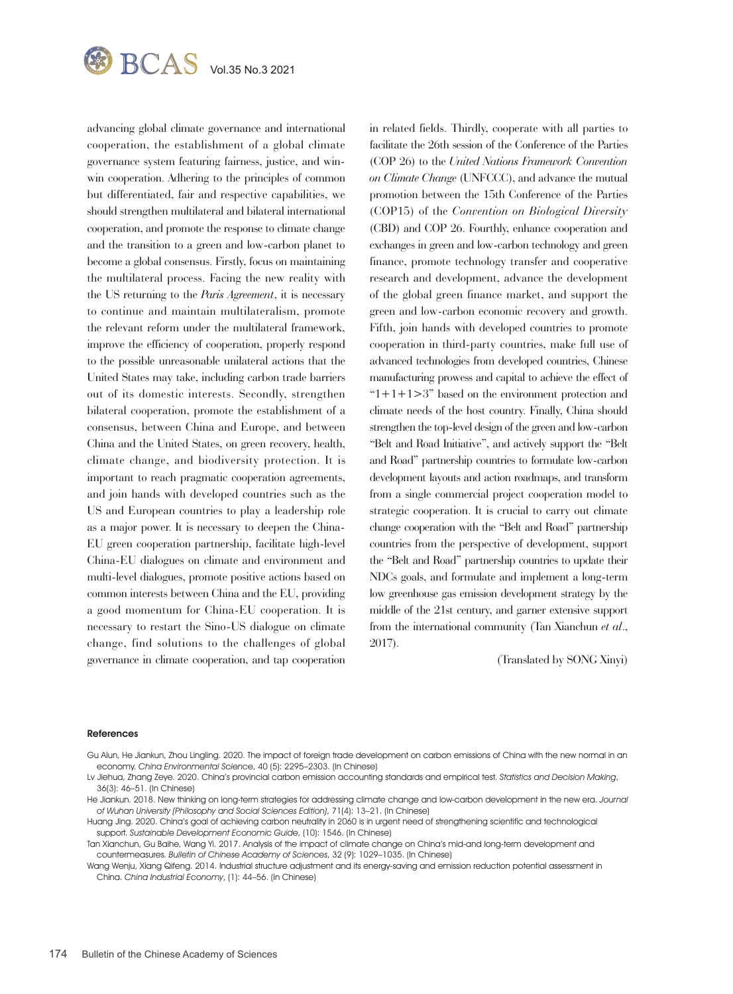

advancing global climate governance and international cooperation, the establishment of a global climate governance system featuring fairness, justice, and winwin cooperation. Adhering to the principles of common but differentiated, fair and respective capabilities, we should strengthen multilateral and bilateral international cooperation, and promote the response to climate change and the transition to a green and low-carbon planet to become a global consensus. Firstly, focus on maintaining the multilateral process. Facing the new reality with the US returning to the *Paris Agreement*, it is necessary to continue and maintain multilateralism, promote the relevant reform under the multilateral framework, improve the efficiency of cooperation, properly respond to the possible unreasonable unilateral actions that the United States may take, including carbon trade barriers out of its domestic interests. Secondly, strengthen bilateral cooperation, promote the establishment of a consensus, between China and Europe, and between China and the United States, on green recovery, health, climate change, and biodiversity protection. It is important to reach pragmatic cooperation agreements, and join hands with developed countries such as the US and European countries to play a leadership role as a major power. It is necessary to deepen the China-EU green cooperation partnership, facilitate high-level China-EU dialogues on climate and environment and multi-level dialogues, promote positive actions based on common interests between China and the EU, providing a good momentum for China-EU cooperation. It is necessary to restart the Sino-US dialogue on climate change, find solutions to the challenges of global governance in climate cooperation, and tap cooperation

in related fields. Thirdly, cooperate with all parties to facilitate the 26th session of the Conference of the Parties (COP 26) to the *United Nations Framework Convention on Climate Change* (UNFCCC), and advance the mutual promotion between the 15th Conference of the Parties (COP15) of the *Convention on Biological Diversity* (CBD) and COP 26. Fourthly, enhance cooperation and exchanges in green and low-carbon technology and green finance, promote technology transfer and cooperative research and development, advance the development of the global green finance market, and support the green and low-carbon economic recovery and growth. Fifth, join hands with developed countries to promote cooperation in third-party countries, make full use of advanced technologies from developed countries, Chinese manufacturing prowess and capital to achieve the effect of " $1+1+1>3$ " based on the environment protection and climate needs of the host country. Finally, China should strengthen the top-level design of the green and low-carbon "Belt and Road Initiative", and actively support the "Belt and Road" partnership countries to formulate low-carbon development layouts and action roadmaps, and transform from a single commercial project cooperation model to strategic cooperation. It is crucial to carry out climate change cooperation with the "Belt and Road" partnership countries from the perspective of development, support the "Belt and Road" partnership countries to update their NDCs goals, and formulate and implement a long-term low greenhouse gas emission development strategy by the middle of the 21st century, and garner extensive support from the international community (Tan Xianchun *et al*., 2017).

(Translated by SONG Xinyi)

#### References

- Gu Alun, He Jiankun, Zhou Lingling. 2020. The impact of foreign trade development on carbon emissions of China with the new normal in an economy. China Environmental Science, 40 (5): 2295–2303. (In Chinese)
- Lv Jiehua, Zhang Zeye. 2020. China's provincial carbon emission accounting standards and empirical test. Statistics and Decision Making, 36(3): 46–51. (In Chinese)

He Jiankun. 2018. New thinking on long-term strategies for addressing climate change and low-carbon development in the new era. Journal of Wuhan University (Philosophy and Social Sciences Edition), 71(4): 13–21. (In Chinese)

Tan Xianchun, Gu Baihe, Wang Yi. 2017. Analysis of the impact of climate change on China's mid-and long-term development and countermeasures. Bulletin of Chinese Academy of Sciences, 32 (9): 1029–1035. (In Chinese)

Wang Wenju, Xiang Qifeng. 2014. Industrial structure adjustment and its energy-saving and emission reduction potential assessment in China. China Industrial Economy, (1): 44–56. (In Chinese)

Huang Jing. 2020. China's goal of achieving carbon neutrality in 2060 is in urgent need of strengthening scientific and technological support. Sustainable Development Economic Guide, (10): 1546. (In Chinese)